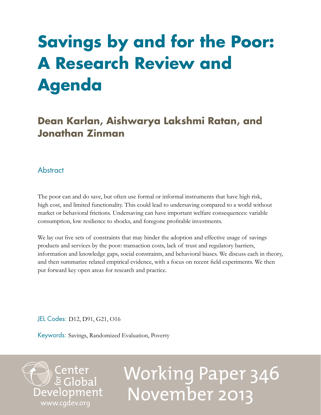## **Savings by and for the Poor: A Research Review and Agenda**

## **Dean Karlan, Aishwarya Lakshmi Ratan, and Jonathan Zinman**

## **Abstract**

The poor can and do save, but often use formal or informal instruments that have high risk, high cost, and limited functionality. This could lead to undersaving compared to a world without market or behavioral frictions. Undersaving can have important welfare consequences: variable consumption, low resilience to shocks, and foregone profitable investments.

We lay out five sets of constraints that may hinder the adoption and effective usage of savings products and services by the poor: transaction costs, lack of trust and regulatory barriers, information and knowledge gaps, social constraints, and behavioral biases. We discuss each in theory, and then summarize related empirical evidence, with a focus on recent field experiments. We then put forward key open areas for research and practice.

JEL Codes: D12, D91, G21, O16

Keywords: Savings, Randomized Evaluation, Poverty

Center<br>Development [www.cgdev.org](http://www.cgdev.org)

# Working Paper 346 November 2013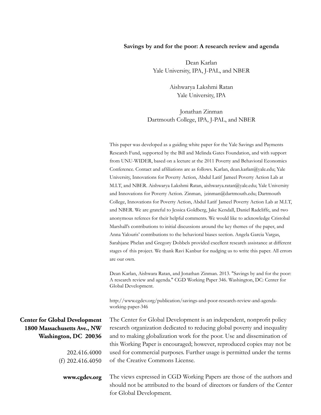#### **Savings by and for the poor: A research review and agenda**

Dean Karlan Yale University, IPA, J-PAL, and NBER

> Aishwarya Lakshmi Ratan Yale University, IPA

Jonathan Zinman Dartmouth College, IPA, J-PAL, and NBER

This paper was developed as a guiding white paper for the Yale Savings and Payments Research Fund, supported by the Bill and Melinda Gates Foundation, and with support from UNU-WIDER, based on a lecture at the 2011 Poverty and Behavioral Economics Conference. Contact and affiliations are as follows. Karlan, dean.karlan@yale.edu; Yale University, Innovations for Poverty Action, Abdul Latif Jameel Poverty Action Lab at M.I.T, and NBER. Aishwarya Lakshmi Ratan, aishwarya.ratan@yale.edu; Yale University and Innovations for Poverty Action. Zinman, jzinman@dartmouth.edu; Dartmouth College, Innovations for Poverty Action, Abdul Latif Jameel Poverty Action Lab at M.I.T, and NBER. We are grateful to Jessica Goldberg, Jake Kendall, Daniel Radcliffe, and two anonymous referees for their helpful comments. We would like to acknowledge Cristobal Marshall's contributions to initial discussions around the key themes of the paper, and Anna Yalouris' contributions to the behavioral biases section. Angela Garcia Vargas, Sarahjane Phelan and Gregory Dobbels provided excellent research assistance at different stages of this project. We thank Ravi Kanbur for nudging us to write this paper. All errors are our own.

Dean Karlan, Aishwara Ratan, and Jonathan Zinman. 2013. "Savings by and for the poor: A research review and agenda." CGD Working Paper 346. Washington, DC: Center for Global Development.

http://www.cgdev.org/publication/savings-and-poor-research-review-and-agendaworking-paper-346

**Center for Global Development 1800 Massachusetts Ave., NW Washington, DC 20036**

> 202.416.4000 (f) 202.416.4050

**www.cgdev.org**

The Center for Global Development is an independent, nonprofit policy research organization dedicated to reducing global poverty and inequality and to making globalization work for the poor. Use and dissemination of this Working Paper is encouraged; however, reproduced copies may not be used for commercial purposes. Further usage is permitted under the terms of the Creative Commons License.

The views expressed in CGD Working Papers are those of the authors and should not be attributed to the board of directors or funders of the Center for Global Development.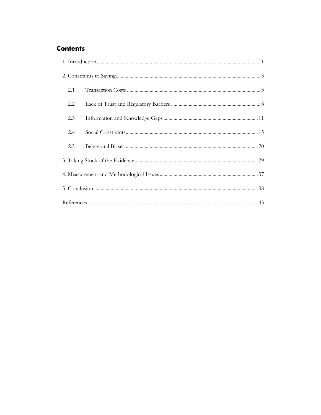## **Contents**

| 2.1 |  |  |  |  |  |  |
|-----|--|--|--|--|--|--|
| 2.2 |  |  |  |  |  |  |
| 2.3 |  |  |  |  |  |  |
| 2.4 |  |  |  |  |  |  |
| 2.5 |  |  |  |  |  |  |
|     |  |  |  |  |  |  |
|     |  |  |  |  |  |  |
|     |  |  |  |  |  |  |
|     |  |  |  |  |  |  |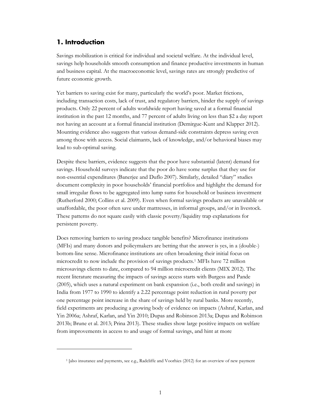## <span id="page-3-0"></span>**1. Introduction**

 $\overline{a}$ 

Savings mobilization is critical for individual and societal welfare. At the individual level, savings help households smooth consumption and finance productive investments in human and business capital. At the macroeconomic level, savings rates are strongly predictive of future economic growth.

Yet barriers to saving exist for many, particularly the world's poor. Market frictions, including transaction costs, lack of trust, and regulatory barriers, hinder the supply of savings products. Only 22 percent of adults worldwide report having saved at a formal financial institution in the past 12 months, and 77 percent of adults living on less than \$2 a day report not having an account at a formal financial institution (Demirguc-Kunt and Klapper 2012). Mounting evidence also suggests that various demand-side constraints depress saving even among those with access. Social claimants, lack of knowledge, and/or behavioral biases may lead to sub-optimal saving.

Despite these barriers, evidence suggests that the poor have substantial (latent) demand for savings. Household surveys indicate that the poor do have some surplus that they use for non-essential expenditures (Banerjee and Duflo 2007). Similarly, detailed "diary" studies document complexity in poor households' financial portfolios and highlight the demand for small irregular flows to be aggregated into lump sums for household or business investment (Rutherford 2000; Collins et al. 2009). Even when formal savings products are unavailable or unaffordable, the poor often save under mattresses, in informal groups, and/or in livestock. These patterns do not square easily with classic poverty/liquidity trap explanations for persistent poverty.

Does removing barriers to saving produce tangible benefits? Microfinance institutions (MFIs) and many donors and policymakers are betting that the answer is yes, in a (double-) bottom-line sense. Microfinance institutions are often broadening their initial focus on microcredit to now include the provision of savings products.<sup>1</sup> MFIs have 72 million microsavings clients to date, compared to 94 million microcredit clients (MIX 2012). The recent literature measuring the impacts of savings access starts with Burgess and Pande (2005), which uses a natural experiment on bank expansion (i.e., both credit and savings) in India from 1977 to 1990 to identify a 2.22 percentage point reduction in rural poverty per one percentage point increase in the share of savings held by rural banks. More recently, field experiments are producing a growing body of evidence on impacts (Ashraf, Karlan, and Yin 2006a; Ashraf, Karlan, and Yin 2010; Dupas and Robinson 2013a; Dupas and Robinson 2013b; Brune et al. 2013; Prina 2013). These studies show large positive impacts on welfare from improvements in access to and usage of formal savings, and hint at more

<sup>1</sup> [also insurance and payments, see e.g., Radcliffe and Voorhies (2012) for an overview of new payment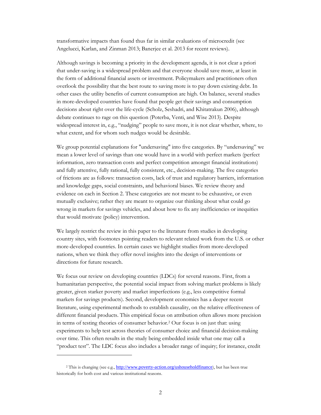transformative impacts than found thus far in similar evaluations of microcredit (see Angelucci, Karlan, and Zinman 2013; Banerjee et al. 2013 for recent reviews).

Although savings is becoming a priority in the development agenda, it is not clear a priori that under-saving is a widespread problem and that everyone should save more, at least in the form of additional financial assets or investment. Policymakers and practitioners often overlook the possibility that the best route to saving more is to pay down existing debt. In other cases the utility benefits of current consumption are high. On balance, several studies in more-developed countries have found that people get their savings and consumption decisions about right over the life-cycle (Scholz, Seshadri, and Khitatrakun 2006), although debate continues to rage on this question (Poterba, Venti, and Wise 2013). Despite widespread interest in, e.g., "nudging" people to save more, it is not clear whether, where, to what extent, and for whom such nudges would be desirable.

We group potential explanations for "undersaving" into five categories. By "undersaving" we mean a lower level of savings than one would have in a world with perfect markets (perfect information, zero transaction costs and perfect competition amongst financial institutions) and fully attentive, fully rational, fully consistent, etc., decision-making. The five categories of frictions are as follows: transaction costs, lack of trust and regulatory barriers, information and knowledge gaps, social constraints, and behavioral biases. We review theory and evidence on each in Section 2. These categories are not meant to be exhaustive, or even mutually exclusive; rather they are meant to organize our thinking about what could go wrong in markets for savings vehicles, and about how to fix any inefficiencies or inequities that would motivate (policy) intervention.

We largely restrict the review in this paper to the literature from studies in developing country sites, with footnotes pointing readers to relevant related work from the U.S. or other more-developed countries. In certain cases we highlight studies from more-developed nations, when we think they offer novel insights into the design of interventions or directions for future research.

We focus our review on developing countries (LDCs) for several reasons. First, from a humanitarian perspective, the potential social impact from solving market problems is likely greater, given starker poverty and market imperfections (e.g., less competitive formal markets for savings products). Second, development economics has a deeper recent literature, using experimental methods to establish causality, on the relative effectiveness of different financial products. This empirical focus on attribution often allows more precision in terms of testing theories of consumer behavior.<sup>2</sup> Our focus is on just that: using experiments to help test across theories of consumer choice and financial decision-making over time. This often results in the study being embedded inside what one may call a "product test". The LDC focus also includes a broader range of inquiry; for instance, credit

<sup>&</sup>lt;sup>2</sup> This is changing (see e.g., <http://www.poverty-action.org/ushouseholdfinance>), but has been true historically for both cost and various institutional reasons.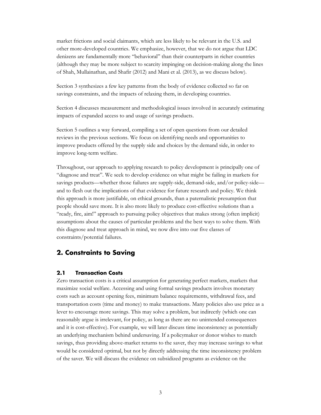market frictions and social claimants, which are less likely to be relevant in the U.S. and other more-developed countries. We emphasize, however, that we do not argue that LDC denizens are fundamentally more "behavioral" than their counterparts in richer countries (although they may be more subject to scarcity impinging on decision-making along the lines of Shah, Mullainathan, and Shafir (2012) and Mani et al. (2013), as we discuss below).

Section 3 synthesizes a few key patterns from the body of evidence collected so far on savings constraints, and the impacts of relaxing them, in developing countries.

Section 4 discusses measurement and methodological issues involved in accurately estimating impacts of expanded access to and usage of savings products.

Section 5 outlines a way forward, compiling a set of open questions from our detailed reviews in the previous sections. We focus on identifying needs and opportunities to improve products offered by the supply side and choices by the demand side, in order to improve long-term welfare.

Throughout, our approach to applying research to policy development is principally one of "diagnose and treat". We seek to develop evidence on what might be failing in markets for savings products—whether those failures are supply-side, demand-side, and/or policy-side and to flesh out the implications of that evidence for future research and policy. We think this approach is more justifiable, on ethical grounds, than a paternalistic presumption that people should save more. It is also more likely to produce cost-effective solutions than a "ready, fire, aim!" approach to pursuing policy objectives that makes strong (often implicit) assumptions about the causes of particular problems and the best ways to solve them. With this diagnose and treat approach in mind, we now dive into our five classes of constraints/potential failures.

## <span id="page-5-0"></span>**2. Constraints to Saving**

#### <span id="page-5-1"></span>**2.1 Transaction Costs**

Zero transaction costs is a critical assumption for generating perfect markets, markets that maximize social welfare. Accessing and using formal savings products involves monetary costs such as account opening fees, minimum balance requirements, withdrawal fees, and transportation costs (time and money) to make transactions. Many policies also use price as a lever to encourage more savings. This may solve a problem, but indirectly (which one can reasonably argue is irrelevant, for policy, as long as there are no unintended consequences and it is cost-effective). For example, we will later discuss time inconsistency as potentially an underlying mechanism behind undersaving. If a policymaker or donor wishes to match savings, thus providing above-market returns to the saver, they may increase savings to what would be considered optimal, but not by directly addressing the time inconsistency problem of the saver. We will discuss the evidence on subsidized programs as evidence on the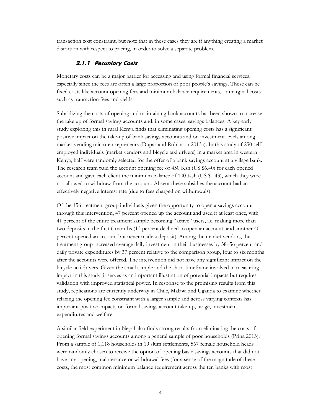transaction cost constraint, but note that in these cases they are if anything creating a market distortion with respect to pricing, in order to solve a separate problem.

#### **2.1.1 Pecuniary Costs**

Monetary costs can be a major barrier for accessing and using formal financial services, especially since the fees are often a large proportion of poor people's savings. These can be fixed costs like account opening fees and minimum balance requirements, or marginal costs such as transaction fees and yields.

Subsidizing the costs of opening and maintaining bank accounts has been shown to increase the take up of formal savings accounts and, in some cases, savings balances. A key early study exploring this in rural Kenya finds that eliminating opening costs has a significant positive impact on the take-up of bank savings accounts and on investment levels among market-vending micro-entrepreneurs (Dupas and Robinson 2013a). In this study of 250 selfemployed individuals (market vendors and bicycle taxi drivers) in a market area in western Kenya, half were randomly selected for the offer of a bank savings account at a village bank. The research team paid the account opening fee of 450 Ksh (US \$6.40) for each opened account and gave each client the minimum balance of 100 Ksh (US \$1.43), which they were not allowed to withdraw from the account. Absent these subsidies the account had an effectively negative interest rate (due to fees charged on withdrawals).

Of the 156 treatment group individuals given the opportunity to open a savings account through this intervention, 47 percent opened up the account and used it at least once, with 41 percent of the entire treatment sample becoming "active" users, i.e. making more than two deposits in the first 6 months (13 percent declined to open an account, and another 40 percent opened an account but never made a deposit). Among the market vendors, the treatment group increased average daily investment in their businesses by 38–56 percent and daily private expenditures by 37 percent relative to the comparison group, four to six months after the accounts were offered. The intervention did not have any significant impact on the bicycle taxi drivers. Given the small sample and the short timeframe involved in measuring impact in this study, it serves as an important illustration of potential impacts but requires validation with improved statistical power. In response to the promising results from this study, replications are currently underway in Chile, Malawi and Uganda to examine whether relaxing the opening fee constraint with a larger sample and across varying contexts has important positive impacts on formal savings account take-up, usage, investment, expenditures and welfare.

A similar field experiment in Nepal also finds strong results from eliminating the costs of opening formal savings accounts among a general sample of poor households (Prina 2013). From a sample of 1,118 households in 19 slum settlements, 567 female household heads were randomly chosen to receive the option of opening basic savings accounts that did not have any opening, maintenance or withdrawal fees (for a sense of the magnitude of these costs, the most common minimum balance requirement across the ten banks with most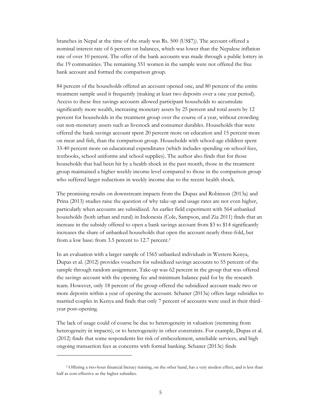branches in Nepal at the time of the study was Rs. 500 (US\$7)). The account offered a nominal interest rate of 6 percent on balances, which was lower than the Nepalese inflation rate of over 10 percent. The offer of the bank accounts was made through a public lottery in the 19 communities. The remaining 551 women in the sample were not offered the free bank account and formed the comparison group.

84 percent of the households offered an account opened one, and 80 percent of the entire treatment sample used it frequently (making at least two deposits over a one year period). Access to these free savings accounts allowed participant households to accumulate significantly more wealth, increasing monetary assets by 25 percent and total assets by 12 percent for households in the treatment group over the course of a year, without crowding out non-monetary assets such as livestock and consumer durables. Households that were offered the bank savings account spent 20 percent more on education and 15 percent more on meat and fish, than the comparison group. Households with school-age children spent 33-40 percent more on educational expenditures (which includes spending on school fees, textbooks, school uniforms and school supplies). The author also finds that for those households that had been hit by a health shock in the past month, those in the treatment group maintained a higher weekly income level compared to those in the comparison group who suffered larger reductions in weekly income due to the recent health shock.

The promising results on downstream impacts from the Dupas and Robinson (2013a) and Prina (2013) studies raise the question of why take-up and usage rates are not even higher, particularly when accounts are subsidized. An earlier field experiment with 564 unbanked households (both urban and rural) in Indonesia (Cole, Sampson, and Zia 2011) finds that an increase in the subsidy offered to open a bank savings account from \$3 to \$14 significantly increases the share of unbanked households that open the account nearly three-fold, but from a low base: from 3.5 percent to 12.7 percent.<sup>3</sup>

In an evaluation with a larger sample of 1565 unbanked individuals in Western Kenya, Dupas et al. (2012) provides vouchers for subsidized savings accounts to 55 percent of the sample through random assignment. Take-up was 62 percent in the group that was offered the savings account with the opening fee and minimum balance paid for by the research team. However, only 18 percent of the group offered the subsidized account made two or more deposits within a year of opening the account. Schaner (2013a) offers large subsidies to married couples in Kenya and finds that only 7 percent of accounts were used in their thirdyear post-opening.

The lack of usage could of course be due to heterogeneity in valuation (stemming from heterogeneity in impacts), or to heterogeneity in other constraints. For example, Dupas et al. (2012) finds that some respondents list risk of embezzlement, unreliable services, and high ongoing transaction fees as concerns with formal banking. Schaner (2013c) finds

<sup>3</sup> Offering a two-hour financial literacy training, on the other hand, has a very modest effect, and is less than half as cost-effective as the higher subsidies.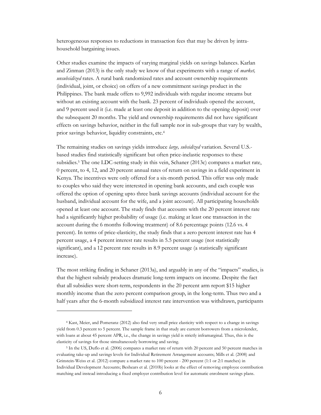heterogeneous responses to reductions in transaction fees that may be driven by intrahousehold bargaining issues.

Other studies examine the impacts of varying marginal yields on savings balances. Karlan and Zinman (2013) is the only study we know of that experiments with a range of *market, unsubsidized* rates. A rural bank randomized rates and account ownership requirements (individual, joint, or choice) on offers of a new commitment savings product in the Philippines. The bank made offers to 9,992 individuals with regular income streams but without an existing account with the bank. 23 percent of individuals opened the account, and 9 percent used it (i.e. made at least one deposit in addition to the opening deposit) over the subsequent 20 months. The yield and ownership requirements did not have significant effects on savings behavior, neither in the full sample nor in sub-groups that vary by wealth, prior savings behavior, liquidity constraints, etc.<sup>4</sup>

The remaining studies on savings yields introduce *large, subsidized* variation. Several U.S. based studies find statistically significant but often price-inelastic responses to these subsidies.<sup>5</sup> The one LDC-setting study in this vein, Schaner (2013c) compares a market rate, 0 percent, to 4, 12, and 20 percent annual rates of return on savings in a field experiment in Kenya. The incentives were only offered for a six-month period. This offer was only made to couples who said they were interested in opening bank accounts, and each couple was offered the option of opening upto three bank savings accounts (individual account for the husband, individual account for the wife, and a joint account). All participating households opened at least one account. The study finds that accounts with the 20 percent interest rate had a significantly higher probability of usage (i.e. making at least one transaction in the account during the 6 months following treatment) of 8.6 percentage points (12.6 vs. 4 percent). In terms of price-elasticity, the study finds that a zero percent interest rate has 4 percent usage, a 4 percent interest rate results in 5.5 percent usage (not statistically significant), and a 12 percent rate results in 8.9 percent usage (a statistically significant increase).

The most striking finding in Schaner (2013a), and arguably in any of the "impacts" studies, is that the highest subsidy produces dramatic long-term impacts on income. Despite the fact that all subsidies were short-term, respondents in the 20 percent arm report \$15 higher monthly income than the zero percent comparison group, in the long-term. Thus two and a half years after the 6-month subsidized interest rate intervention was withdrawn, participants

<sup>4</sup> Kast, Meier, and Pomeranz (2012) also find very small price elasticity with respect to a change in savings yield from 0.3 percent to 5 percent. The sample frame in that study are current borrowers from a microlender, with loans at about 45 percent APR, i.e., the change in savings yield is strictly inframarginal. Thus, this is the elasticity of savings for those simultaneously borrowing and saving.

<sup>5</sup> In the US, Duflo et al. (2006) compares a market rate of return with 20 percent and 50 percent matches in evaluating take-up and savings levels for Individual Retirement Arrangement accounts; Mills et al. (2008) and Grinstein-Weiss et al. (2012) compare a market rate to 100 percent - 200 percent (1:1 or 2:1 matches) in Individual Development Accounts; Beshears et al. (2010b) looks at the effect of removing employee contribution matching and instead introducing a fixed employer contribution level for automatic enrolment savings plans.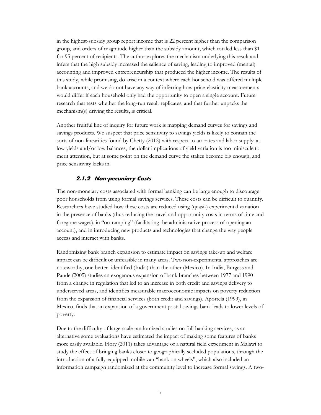in the highest-subsidy group report income that is 22 percent higher than the comparison group, and orders of magnitude higher than the subsidy amount, which totaled less than \$1 for 95 percent of recipients. The author explores the mechanism underlying this result and infers that the high subsidy increased the salience of saving, leading to improved (mental) accounting and improved entrepreneurship that produced the higher income. The results of this study, while promising, do arise in a context where each household was offered multiple bank accounts, and we do not have any way of inferring how price-elasticity measurements would differ if each household only had the opportunity to open a single account. Future research that tests whether the long-run result replicates, and that further unpacks the mechanism(s) driving the results, is critical.

Another fruitful line of inquiry for future work is mapping demand curves for savings and savings products. We suspect that price sensitivity to savings yields is likely to contain the sorts of non-linearities found by Chetty (2012) with respect to tax rates and labor supply: at low yields and/or low balances, the dollar implications of yield variation is too miniscule to merit attention, but at some point on the demand curve the stakes become big enough, and price sensitivity kicks in.

#### **2.1.2 Non-pecuniary Costs**

The non-monetary costs associated with formal banking can be large enough to discourage poor households from using formal savings services. These costs can be difficult to quantify. Researchers have studied how these costs are reduced using (quasi-) experimental variation in the presence of banks (thus reducing the travel and opportunity costs in terms of time and foregone wages), in "on-ramping" (facilitating the administrative process of opening an account), and in introducing new products and technologies that change the way people access and interact with banks.

Randomizing bank branch expansion to estimate impact on savings take-up and welfare impact can be difficult or unfeasible in many areas. Two non-experimental approaches are noteworthy, one better- identified (India) than the other (Mexico). In India, Burgess and Pande (2005) studies an exogenous expansion of bank branches between 1977 and 1990 from a change in regulation that led to an increase in both credit and savings delivery to underserved areas, and identifies measurable macroeconomic impacts on poverty reduction from the expansion of financial services (both credit and savings). Aportela (1999), in Mexico, finds that an expansion of a government postal savings bank leads to lower levels of poverty.

Due to the difficulty of large-scale randomized studies on full banking services, as an alternative some evaluations have estimated the impact of making some features of banks more easily available. Flory (2011) takes advantage of a natural field experiment in Malawi to study the effect of bringing banks closer to geographically secluded populations, through the introduction of a fully-equipped mobile van "bank on wheels", which also included an information campaign randomized at the community level to increase formal savings. A two-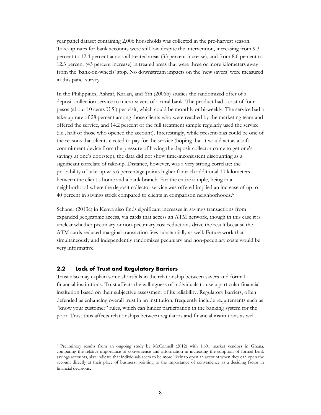year panel dataset containing 2,006 households was collected in the pre-harvest season. Take-up rates for bank accounts were still low despite the intervention, increasing from 9.3 percent to 12.4 percent across all treated areas (33 percent increase), and from 8.6 percent to 12.3 percent (43 percent increase) in treated areas that were three or more kilometers away from the 'bank-on-wheels' stop. No downstream impacts on the 'new savers' were measured in this panel survey.

In the Philippines, Ashraf, Karlan, and Yin (2006b) studies the randomized offer of a deposit collection service to micro-savers of a rural bank. The product had a cost of four pesos (about 10 cents U.S.) per visit, which could be monthly or bi-weekly. The service had a take-up rate of 28 percent among those clients who were reached by the marketing team and offered the service, and 14.2 percent of the full treatment sample regularly used the service (i.e., half of those who opened the account). Interestingly, while present-bias could be one of the reasons that clients elected to pay for the service (hoping that it would act as a soft commitment device from the pressure of having the deposit collector come to get one's savings at one's doorstep), the data did not show time-inconsistent discounting as a significant correlate of take-up. Distance, however, was a very strong correlate: the probability of take-up was 6 percentage points higher for each additional 10 kilometers between the client's home and a bank branch. For the entire sample, being in a neighborhood where the deposit collector service was offered implied an increase of up to 40 percent in savings stock compared to clients in comparison neighborhoods.<sup>6</sup>

Schaner (2013c) in Kenya also finds significant increases in savings transactions from expanded geographic access, via cards that access an ATM network, though in this case it is unclear whether pecuniary or non-pecuniary cost reductions drive the result because the ATM cards reduced marginal transaction fees substantially as well. Future work that simultaneously and independently randomizes pecuniary and non-pecuniary costs would be very informative.

### <span id="page-10-0"></span>**2.2 Lack of Trust and Regulatory Barriers**

 $\overline{a}$ 

Trust also may explain some shortfalls in the relationship between savers and formal financial institutions. Trust affects the willingness of individuals to use a particular financial institution based on their subjective assessment of its reliability. Regulatory barriers, often defended as enhancing overall trust in an institution, frequently include requirements such as "know your customer" rules, which can hinder participation in the banking system for the poor. Trust thus affects relationships between regulators and financial institutions as well.

<sup>6</sup> Preliminary results from an ongoing study by McConnell (2012) with 1,601 market vendors in Ghana, comparing the relative importance of convenience and information in increasing the adoption of formal bank savings accounts, also indicate that individuals seem to be more likely to open an account when they can open the account directly at their place of business, pointing to the importance of convenience as a deciding factor in financial decisions.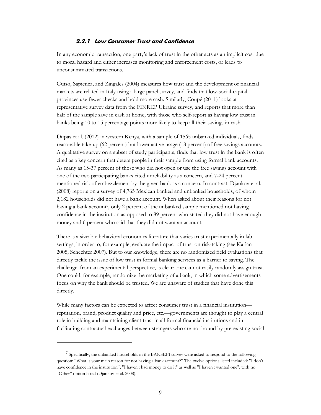#### **2.2.1 Low Consumer Trust and Confidence**

In any economic transaction, one party's lack of trust in the other acts as an implicit cost due to moral hazard and either increases monitoring and enforcement costs, or leads to unconsummated transactions.

Guiso, Sapienza, and Zingales (2004) measures how trust and the development of financial markets are related in Italy using a large panel survey, and finds that low-social-capital provinces use fewer checks and hold more cash. Similarly, Coupé (2011) looks at representative survey data from the FINREP Ukraine survey, and reports that more than half of the sample save in cash at home, with those who self-report as having low trust in banks being 10 to 15 percentage points more likely to keep all their savings in cash.

Dupas et al. (2012) in western Kenya, with a sample of 1565 unbanked individuals, finds reasonable take-up (62 percent) but lower active usage (18 percent) of free savings accounts. A qualitative survey on a subset of study participants, finds that low trust in the bank is often cited as a key concern that deters people in their sample from using formal bank accounts. As many as 15-37 percent of those who did not open or use the free savings account with one of the two participating banks cited unreliability as a concern, and 7-24 percent mentioned risk of embezzlement by the given bank as a concern. In contrast, Djankov et al. (2008) reports on a survey of 4,765 Mexican banked and unbanked households, of whom 2,182 households did not have a bank account. When asked about their reasons for not having a bank account<sup>7</sup>, only 2 percent of the unbanked sample mentioned not having confidence in the institution as opposed to 89 percent who stated they did not have enough money and 6 percent who said that they did not want an account.

There is a sizeable behavioral economics literature that varies trust experimentally in lab settings, in order to, for example, evaluate the impact of trust on risk-taking (see Karlan 2005; Schechter 2007). But to our knowledge, there are no randomized field evaluations that directly tackle the issue of low trust in formal banking services as a barrier to saving. The challenge, from an experimental perspective, is clear: one cannot easily randomly assign trust. One could, for example, randomize the marketing of a bank, in which some advertisements focus on why the bank should be trusted. We are unaware of studies that have done this directly.

While many factors can be expected to affect consumer trust in a financial institution reputation, brand, product quality and price, etc.—governments are thought to play a central role in building and maintaining client trust in all formal financial institutions and in facilitating contractual exchanges between strangers who are not bound by pre-existing social

 $7$  Specifically, the unbanked households in the BANSEFI survey were asked to respond to the following question: "What is your main reason for not having a bank account?" The twelve options listed included: "I don't have confidence in the institution", "I haven't had money to do it" as well as "I haven't wanted one", with no "Other" option listed (Djankov et al. 2008).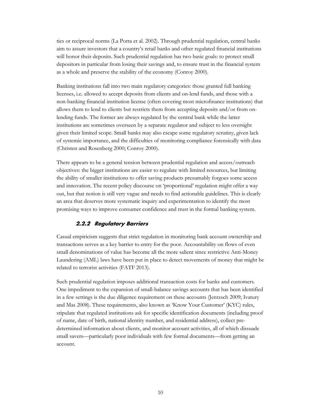ties or reciprocal norms (La Porta et al. 2002). Through prudential regulation, central banks aim to assure investors that a country's retail banks and other regulated financial institutions will honor their deposits. Such prudential regulation has two basic goals: to protect small depositors in particular from losing their savings and, to ensure trust in the financial system as a whole and preserve the stability of the economy (Conroy 2000).

Banking institutions fall into two main regulatory categories: those granted full banking licenses, i.e. allowed to accept deposits from clients and on-lend funds, and those with a non-banking financial institution license (often covering most microfinance institutions) that allows them to lend to clients but restricts them from accepting deposits and/or from onlending funds. The former are always regulated by the central bank while the latter institutions are sometimes overseen by a separate regulator and subject to less oversight given their limited scope. Small banks may also escape some regulatory scrutiny, given lack of systemic importance, and the difficulties of monitoring compliance forensically with data (Christen and Rosenberg 2000; Conroy 2000).

There appears to be a general tension between prudential regulation and access/outreach objectives: the bigger institutions are easier to regulate with limited resources, but limiting the ability of smaller institutions to offer saving products presumably forgoes some access and innovation. The recent policy discourse on 'proportional' regulation might offer a way out, but that notion is still very vague and needs to find actionable guidelines. This is clearly an area that deserves more systematic inquiry and experimentation to identify the most promising ways to improve consumer confidence and trust in the formal banking system.

#### **2.2.2 Regulatory Barriers**

Casual empiricism suggests that strict regulation in monitoring bank account ownership and transactions serves as a key barrier to entry for the poor. Accountability on flows of even small denominations of value has become all the more salient since restrictive Anti-Money Laundering (AML) laws have been put in place to detect movements of money that might be related to terrorist activities (FATF 2013).

Such prudential regulation imposes additional transaction costs for banks and customers. One impediment to the expansion of small-balance savings accounts that has been identified in a few settings is the due diligence requirement on these accounts (Jentzsch 2009; Ivatury and Mas 2008). These requirements, also known as 'Know Your Customer' (KYC) rules, stipulate that regulated institutions ask for specific identification documents (including proof of name, date of birth, national identity number, and residential address), collect predetermined information about clients, and monitor account activities, all of which dissuade small savers—particularly poor individuals with few formal documents—from getting an account.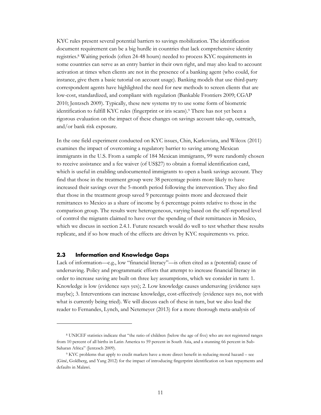KYC rules present several potential barriers to savings mobilization. The identification document requirement can be a big hurdle in countries that lack comprehensive identity registries. <sup>8</sup> Waiting periods (often 24-48 hours) needed to process KYC requirements in some countries can serve as an entry barrier in their own right, and may also lead to account activation at times when clients are not in the presence of a banking agent (who could, for instance, give them a basic tutorial on account usage). Banking models that use third-party correspondent agents have highlighted the need for new methods to screen clients that are low-cost, standardized, and compliant with regulation (Bankable Frontiers 2009; CGAP 2010; Jentzsch 2009). Typically, these new systems try to use some form of biometric identification to fulfill KYC rules (fingerprint or iris scans). <sup>9</sup> There has not yet been a rigorous evaluation on the impact of these changes on savings account take-up, outreach, and/or bank risk exposure.

In the one field experiment conducted on KYC issues, Chin, Karkoviata, and Wilcox (2011) examines the impact of overcoming a regulatory barrier to saving among Mexican immigrants in the U.S. From a sample of 184 Mexican immigrants, 99 were randomly chosen to receive assistance and a fee waiver (of US\$27) to obtain a formal identification card, which is useful in enabling undocumented immigrants to open a bank savings account. They find that those in the treatment group were 38 percentage points more likely to have increased their savings over the 5-month period following the intervention. They also find that those in the treatment group saved 9 percentage points more and decreased their remittances to Mexico as a share of income by 6 percentage points relative to those in the comparison group. The results were heterogeneous, varying based on the self-reported level of control the migrants claimed to have over the spending of their remittances in Mexico, which we discuss in section 2.4.1. Future research would do well to test whether these results replicate, and if so how much of the effects are driven by KYC requirements vs. price.

#### <span id="page-13-0"></span>**2.3 Information and Knowledge Gaps**

 $\overline{a}$ 

Lack of information—e.g., low "financial literacy"—is often cited as a (potential) cause of undersaving. Policy and programmatic efforts that attempt to increase financial literacy in order to increase saving are built on three key assumptions, which we consider in turn: 1. Knowledge is low (evidence says yes); 2. Low knowledge causes undersaving (evidence says maybe); 3. Interventions can increase knowledge, cost-effectively (evidence says no, not with what is currently being tried). We will discuss each of these in turn, but we also lead the reader to Fernandes, Lynch, and Netemeyer (2013) for a more thorough meta-analysis of

<sup>8</sup> UNICEF statistics indicate that "the ratio of children (below the age of five) who are not registered ranges from 10 percent of all births in Latin America to 59 percent in South Asia, and a stunning 66 percent in Sub-Saharan Africa" (Jentzsch 2009).

<sup>9</sup> KYC problems that apply to credit markets have a more direct benefit in reducing moral hazard – see (Giné, Goldberg, and Yang 2012) for the impact of introducing fingerprint identification on loan repayments and defaults in Malawi.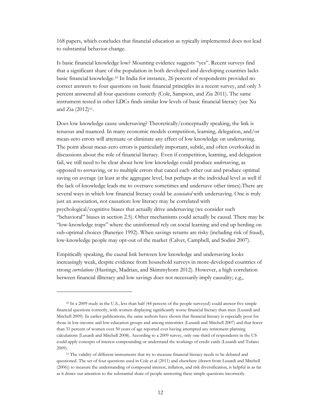168 papers, which concludes that financial education as typically implemented does not lead to substantial behavior change.

Is basic financial knowledge low? Mounting evidence suggests "yes". Recent surveys find that a significant share of the population in both developed and developing countries lacks basic financial knowledge.<sup>10</sup> In India for instance, 26 percent of respondents provided no correct answers to four questions on basic financial principles in a recent survey, and only 3 percent answered all four questions correctly (Cole, Sampson, and Zia 2011). The same instrument tested in other LDCs finds similar low levels of basic financial literacy (see Xu and Zia  $(2012)^{11}$ .

Does low knowledge cause undersaving? Theoretically/conceptually speaking, the link is tenuous and nuanced. In many economic models competition, learning, delegation, and/or mean-zero errors will attenuate or eliminate any effect of low knowledge on undersaving. The point about mean-zero errors is particularly important, subtle, and often overlooked in discussions about the role of financial literacy. Even if competition, learning, and delegation fail, we still need to be clear about how low knowledge could produce *under*saving, as opposed to *over*saving, or to multiple errors that cancel each other out and produce optimal saving on average (at least at the aggregate level, but perhaps at the individual level as well if the lack of knowledge leads me to oversave sometimes and undersave other times).There are several ways in which low financial literacy could be *associated* with undersaving. One is truly just an association, not causation: low literacy may be correlated with psychological/cognitive biases that actually drive undersaving (we consider such "behavioral" biases in section 2.5). Other mechanisms could actually be causal. There may be "low-knowledge traps" where the uninformed rely on social learning and end up herding on sub-optimal choices (Banerjee 1992). When savings returns are risky (including risk of fraud), low-knowledge people may opt-out of the market (Calvet, Campbell, and Sodini 2007).

Empirically speaking, the causal link between low knowledge and undersaving looks increasingly weak, despite evidence from household surveys in more-developed countries of strong *correlations* (Hastings, Madrian, and Skimmyhorn 2012). However, a high correlation between financial illiteracy and low savings does not necessarily imply causality; e.g.,

<sup>10</sup> In a 2009 study in the U.S., less than half (44 percent of the people surveyed) could answer five simple financial questions correctly, with women displaying significantly worse financial literacy than men (Lusardi and Mitchell 2009). In earlier publications, the same authors have shown that financial literacy is especially poor for those in low-income and low-education groups and among minorities (Lusardi and Mitchell 2007) and that fewer than 31 percent of women over 50 years of age reported ever having attempted any retirement planning calculations (Lusardi and Mitchell 2008). According to a 2009 survey, only one-third of respondents in the US could apply concepts of interest compounding or understand the workings of credit cards (Lusardi and Tufano 2009).

<sup>11</sup> The validity of different instruments that try to measure financial literacy needs to be debated and questioned. The set of four questions used in Cole et al (2011) and elsewhere (drawn from Lusardi and Mitchell (2006)) to measure the understanding of compound interest, inflation, and risk diversification, is helpful in as far as it draws our attention to the substantial share of people answering these simple questions incorrectly.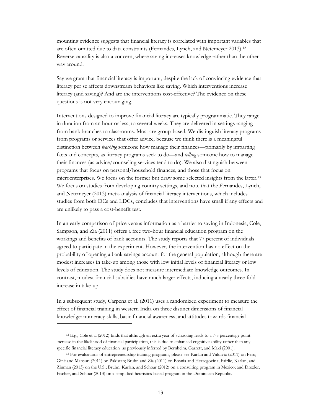mounting evidence suggests that financial literacy is correlated with important variables that are often omitted due to data constraints (Fernandes, Lynch, and Netemeyer 2013). 12 Reverse causality is also a concern, where saving increases knowledge rather than the other way around.

Say we grant that financial literacy is important, despite the lack of convincing evidence that literacy per se affects downstream behaviors like saving. Which interventions increase literacy (and saving)? And are the interventions cost-effective? The evidence on these questions is not very encouraging.

Interventions designed to improve financial literacy are typically programmatic. They range in duration from an hour or less, to several weeks. They are delivered in settings ranging from bank branches to classrooms. Most are group-based. We distinguish literacy programs from programs or services that offer advice, because we think there is a meaningful distinction between *teaching* someone how manage their finances—primarily by imparting facts and concepts, as literacy programs seek to do—and *telling* someone how to manage their finances (as advice/counseling services tend to do). We also distinguish between programs that focus on personal/household finances, and those that focus on microenterprises. We focus on the former but draw some selected insights from the latter.<sup>13</sup> We focus on studies from developing country settings, and note that the Fernandes, Lynch, and Netemeyer (2013) meta-analysis of financial literacy interventions, which includes studies from both DCs and LDCs, concludes that interventions have small if any effects and are unlikely to pass a cost-benefit test.

In an early comparison of price versus information as a barrier to saving in Indonesia, Cole, Sampson, and Zia (2011) offers a free two-hour financial education program on the workings and benefits of bank accounts. The study reports that 77 percent of individuals agreed to participate in the experiment. However, the intervention has no effect on the probability of opening a bank savings account for the general population, although there are modest increases in take-up among those with low initial levels of financial literacy or low levels of education. The study does not measure intermediate knowledge outcomes. In contrast, modest financial subsidies have much larger effects, inducing a nearly three-fold increase in take-up.

In a subsequent study, Carpena et al. (2011) uses a randomized experiment to measure the effect of financial training in western India on three distinct dimensions of financial knowledge: numeracy skills, basic financial awareness, and attitudes towards financial

<sup>12</sup> E.g., Cole et al (2012) finds that although an extra year of schooling leads to a 7-8 percentage point increase in the likelihood of financial participation, this is due to enhanced cognitive ability rather than any specific financial literacy education as previously inferred by Bernheim, Garrett, and Maki (2001).

<sup>13</sup> For evaluations of entrepreneurship training programs, please see Karlan and Valdivia (2011) on Peru; Giné and Mansuri (2011) on Pakistan; Bruhn and Zia (2011) on Bosnia and Herzegovina; Fairlie, Karlan, and Zinman (2013) on the U.S.; Bruhn, Karlan, and Schoar (2012) on a consulting program in Mexico; and Drexler, Fischer, and Schoar (2013) on a simplified heuristics-based program in the Dominican Republic.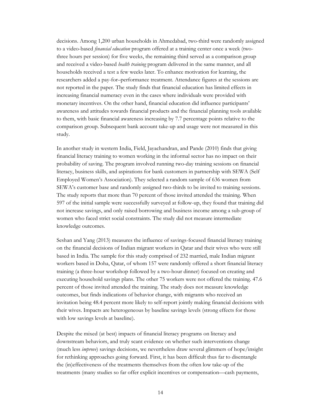decisions. Among 1,200 urban households in Ahmedabad, two-third were randomly assigned to a video-based *financial education* program offered at a training center once a week (twothree hours per session) for five weeks, the remaining third served as a comparison group and received a video-based *health training* program delivered in the same manner, and all households received a test a few weeks later. To enhance motivation for learning, the researchers added a pay-for–performance treatment. Attendance figures at the sessions are not reported in the paper. The study finds that financial education has limited effects in increasing financial numeracy even in the cases where individuals were provided with monetary incentives. On the other hand, financial education did influence participants' awareness and attitudes towards financial products and the financial planning tools available to them, with basic financial awareness increasing by 7.7 percentage points relative to the comparison group. Subsequent bank account take-up and usage were not measured in this study.

In another study in western India, Field, Jayachandran, and Pande (2010) finds that giving financial literacy training to women working in the informal sector has no impact on their probability of saving. The program involved running two-day training sessions on financial literacy, business skills, and aspirations for bank customers in partnership with SEWA (Self Employed Women's Association). They selected a random sample of 636 women from SEWA's customer base and randomly assigned two-thirds to be invited to training sessions. The study reports that more than 70 percent of those invited attended the training. When 597 of the initial sample were successfully surveyed at follow-up, they found that training did not increase savings, and only raised borrowing and business income among a sub-group of women who faced strict social constraints. The study did not measure intermediate knowledge outcomes.

Seshan and Yang (2013) measures the influence of savings-focused financial literacy training on the financial decisions of Indian migrant workers in Qatar and their wives who were still based in India. The sample for this study comprised of 232 married, male Indian migrant workers based in Doha, Qatar, of whom 157 were randomly offered a short financial literacy training (a three-hour workshop followed by a two-hour dinner) focused on creating and executing household savings plans. The other 75 workers were not offered the training. 47.6 percent of those invited attended the training. The study does not measure knowledge outcomes, but finds indications of behavior change, with migrants who received an invitation being 48.4 percent more likely to self-report jointly making financial decisions with their wives. Impacts are heterogeneous by baseline savings levels (strong effects for those with low savings levels at baseline).

Despite the mixed (at best) impacts of financial literacy programs on literacy and downstream behaviors, and truly scant evidence on whether such interventions change (much less *improve*) savings decisions, we nevertheless draw several glimmers of hope/insight for rethinking approaches going forward. First, it has been difficult thus far to disentangle the (in)effectiveness of the treatments themselves from the often low take-up of the treatments (many studies so far offer explicit incentives or compensation—cash payments,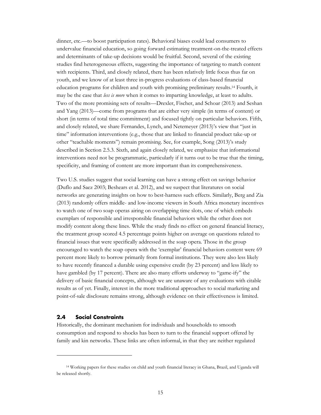dinner, etc.—to boost participation rates). Behavioral biases could lead consumers to undervalue financial education, so going forward estimating treatment-on-the-treated effects and determinants of take-up decisions would be fruitful. Second, several of the existing studies find heterogeneous effects, suggesting the importance of targeting to match content with recipients. Third, and closely related, there has been relatively little focus thus far on youth, and we know of at least three in-progress evaluations of class-based financial education programs for children and youth with promising preliminary results.<sup>14</sup> Fourth, it may be the case that *less is more* when it comes to imparting knowledge, at least to adults. Two of the more promising sets of results—Drexler, Fischer, and Schoar (2013) and Seshan and Yang (2013)—come from programs that are either very simple (in terms of content) or short (in terms of total time commitment) and focused tightly on particular behaviors. Fifth, and closely related, we share Fernandes, Lynch, and Netemeyer (2013)'s view that "just in time" information interventions (e.g., those that are linked to financial product take-up or other "teachable moments") remain promising. See, for example, Song (2013)'s study described in Section 2.5.3. Sixth, and again closely related, we emphasize that informational interventions need not be programmatic, particularly if it turns out to be true that the timing, specificity, and framing of content are more important than its comprehensiveness.

Two U.S. studies suggest that social learning can have a strong effect on savings behavior (Duflo and Saez 2003; Beshears et al. 2012), and we suspect that literatures on social networks are generating insights on how to best-harness such effects. Similarly, Berg and Zia (2013) randomly offers middle- and low-income viewers in South Africa monetary incentives to watch one of two soap operas airing on overlapping time slots, one of which embeds exemplars of responsible and irresponsible financial behaviors while the other does not modify content along these lines. While the study finds no effect on general financial literacy, the treatment group scored 4.5 percentage points higher on average on questions related to financial issues that were specifically addressed in the soap opera. Those in the group encouraged to watch the soap opera with the 'exemplar' financial behaviors content were 69 percent more likely to borrow primarily from formal institutions. They were also less likely to have recently financed a durable using expensive credit (by 23 percent) and less likely to have gambled (by 17 percent). There are also many efforts underway to "game-ify" the delivery of basic financial concepts, although we are unaware of any evaluations with citable results as of yet. Finally, interest in the more traditional approaches to social marketing and point-of-sale disclosure remains strong, although evidence on their effectiveness is limited.

#### <span id="page-17-0"></span>**2.4 Social Constraints**

 $\overline{a}$ 

Historically, the dominant mechanism for individuals and households to smooth consumption and respond to shocks has been to turn to the financial support offered by family and kin networks. These links are often informal, in that they are neither regulated

<sup>14</sup> Working papers for these studies on child and youth financial literacy in Ghana, Brazil, and Uganda will be released shortly.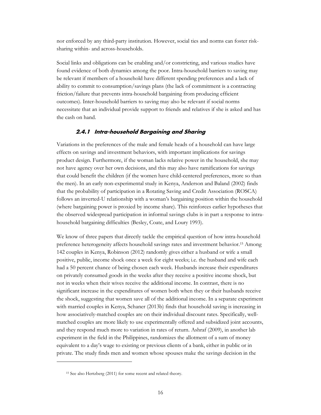nor enforced by any third-party institution. However, social ties and norms can foster risksharing within- and across-households.

Social links and obligations can be enabling and/or constricting, and various studies have found evidence of both dynamics among the poor. Intra-household barriers to saving may be relevant if members of a household have different spending preferences and a lack of ability to commit to consumption/savings plans (the lack of commitment is a contracting friction/failure that prevents intra-household bargaining from producing efficient outcomes). Inter-household barriers to saving may also be relevant if social norms necessitate that an individual provide support to friends and relatives if she is asked and has the cash on hand.

#### **2.4.1 Intra-household Bargaining and Sharing**

Variations in the preferences of the male and female heads of a household can have large effects on savings and investment behaviors, with important implications for savings product design. Furthermore, if the woman lacks relative power in the household, she may not have agency over her own decisions, and this may also have ramifications for savings that could benefit the children (if the women have child-centered preferences, more so than the men). In an early non-experimental study in Kenya, Anderson and Baland (2002) finds that the probability of participation in a Rotating Saving and Credit Association (ROSCA) follows an inverted-U relationship with a woman's bargaining position within the household (where bargaining power is proxied by income share). This reinforces earlier hypotheses that the observed widespread participation in informal savings clubs is in part a response to intrahousehold bargaining difficulties (Besley, Coate, and Loury 1993).

We know of three papers that directly tackle the empirical question of how intra-household preference heterogeneity affects household savings rates and investment behavior.<sup>15</sup> Among 142 couples in Kenya, Robinson (2012) randomly gives either a husband or wife a small positive, public, income shock once a week for eight weeks; i.e. the husband and wife each had a 50 percent chance of being chosen each week. Husbands increase their expenditures on privately consumed goods in the weeks after they receive a positive income shock, but not in weeks when their wives receive the additional income. In contrast, there is no significant increase in the expenditures of women both when they or their husbands receive the shock, suggesting that women save all of the additional income. In a separate experiment with married couples in Kenya, Schaner (2013b) finds that household saving is increasing in how associatively-matched couples are on their individual discount rates. Specifically, wellmatched couples are more likely to use experimentally offered and subsidized joint accounts, and they respond much more to variation in rates of return. Ashraf (2009), in another lab experiment in the field in the Philippines, randomizes the allotment of a sum of money equivalent to a day's wage to existing or previous clients of a bank, either in public or in private. The study finds men and women whose spouses make the savings decision in the

<sup>15</sup> See also Hertzberg (2011) for some recent and related theory.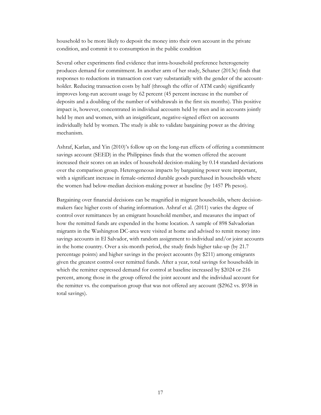household to be more likely to deposit the money into their own account in the private condition, and commit it to consumption in the public condition

Several other experiments find evidence that intra-household preference heterogeneity produces demand for commitment. In another arm of her study, Schaner (2013c) finds that responses to reductions in transaction cost vary substantially with the gender of the accountholder. Reducing transaction costs by half (through the offer of ATM cards) significantly improves long-run account usage by 62 percent (45 percent increase in the number of deposits and a doubling of the number of withdrawals in the first six months). This positive impact is, however, concentrated in individual accounts held by men and in accounts jointly held by men and women, with an insignificant, negative-signed effect on accounts individually held by women. The study is able to validate bargaining power as the driving mechanism.

Ashraf, Karlan, and Yin (2010)'s follow up on the long-run effects of offering a commitment savings account (SEED) in the Philippines finds that the women offered the account increased their scores on an index of household decision-making by 0.14 standard deviations over the comparison group. Heterogeneous impacts by bargaining power were important, with a significant increase in female-oriented durable goods purchased in households where the women had below-median decision-making power at baseline (by 1457 Ph pesos).

Bargaining over financial decisions can be magnified in migrant households, where decisionmakers face higher costs of sharing information. Ashraf et al. (2011) varies the degree of control over remittances by an emigrant household member, and measures the impact of how the remitted funds are expended in the home location. A sample of 898 Salvadorian migrants in the Washington DC-area were visited at home and advised to remit money into savings accounts in El Salvador, with random assignment to individual and/or joint accounts in the home country. Over a six-month period, the study finds higher take-up (by 21.7 percentage points) and higher savings in the project accounts (by \$211) among emigrants given the greatest control over remitted funds. After a year, total savings for households in which the remitter expressed demand for control at baseline increased by \$2024 or 216 percent, among those in the group offered the joint account and the individual account for the remitter vs. the comparison group that was not offered any account (\$2962 vs. \$938 in total savings).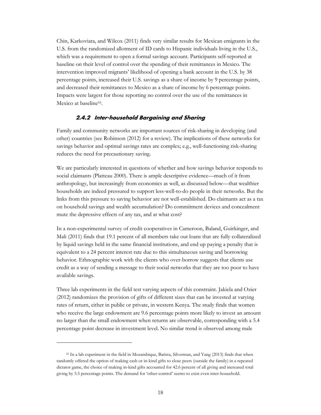Chin, Karkoviata, and Wilcox (2011) finds very similar results for Mexican emigrants in the U.S. from the randomized allotment of ID cards to Hispanic individuals living in the U.S., which was a requirement to open a formal savings account. Participants self-reported at baseline on their level of control over the spending of their remittances in Mexico. The intervention improved migrants' likelihood of opening a bank account in the U.S. by 38 percentage points, increased their U.S. savings as a share of income by 9 percentage points, and decreased their remittances to Mexico as a share of income by 6 percentage points. Impacts were largest for those reporting no control over the use of the remittances in Mexico at baseline<sup>16</sup>.

#### **2.4.2 Inter-household Bargaining and Sharing**

Family and community networks are important sources of risk-sharing in developing (and other) countries (see Robinson (2012) for a review). The implications of these networks for savings behavior and optimal savings rates are complex; e.g., well-functioning risk-sharing reduces the need for precautionary saving.

We are particularly interested in questions of whether and how savings behavior responds to social claimants (Platteau 2000). There is ample descriptive evidence—much of it from anthropology, but increasingly from economics as well, as discussed below—that wealthier households are indeed pressured to support less-well-to-do people in their networks. But the links from this pressure to saving behavior are not well-established. Do claimants act as a tax on household savings and wealth accumulation? Do commitment devices and concealment mute the depressive effects of any tax, and at what cost?

In a non-experimental survey of credit cooperatives in Cameroon, Baland, Guirkinger, and Mali (2011) finds that 19.1 percent of all members take out loans that are fully collateralized by liquid savings held in the same financial institutions, and end up paying a penalty that is equivalent to a 24 percent interest rate due to this simultaneous saving and borrowing behavior. Ethnographic work with the clients who over-borrow suggests that clients use credit as a way of sending a message to their social networks that they are too poor to have available savings.

Three lab experiments in the field test varying aspects of this constraint. Jakiela and Ozier (2012) randomizes the provision of gifts of different sizes that can be invested at varying rates of return, either in public or private, in western Kenya. The study finds that women who receive the large endowment are 9.6 percentage points more likely to invest an amount no larger than the small endowment when returns are observable, corresponding with a 5.4 percentage point decrease in investment level. No similar trend is observed among male

<sup>16</sup> In a lab experiment in the field in Mozambique, Batista, Silverman, and Yang (2013) finds that when randomly offered the option of making cash or in-kind gifts to close peers (outside the family) in a repeated dictator game, the choice of making in-kind gifts accounted for 42.6 percent of all giving and increased total giving by 5.5 percentage points. The demand for 'other-control' seems to exist even inter-household.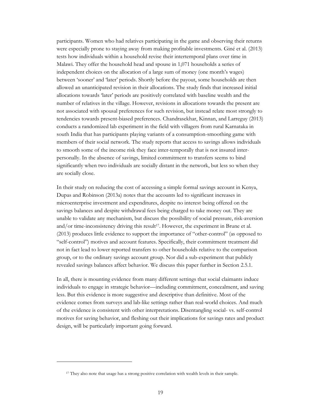participants. Women who had relatives participating in the game and observing their returns were especially prone to staying away from making profitable investments. Giné et al. (2013) tests how individuals within a household revise their intertemporal plans over time in Malawi. They offer the household head and spouse in 1,071 households a series of independent choices on the allocation of a large sum of money (one month's wages) between 'sooner' and 'later' periods. Shortly before the payout, some households are then allowed an unanticipated revision in their allocations. The study finds that increased initial allocations towards 'later' periods are positively correlated with baseline wealth and the number of relatives in the village. However, revisions in allocations towards the present are not associated with spousal preferences for such revision, but instead relate most strongly to tendencies towards present-biased preferences. Chandrasekhar, Kinnan, and Larreguy (2013) conducts a randomized lab experiment in the field with villagers from rural Karnataka in south India that has participants playing variants of a consumption-smoothing game with members of their social network. The study reports that access to savings allows individuals to smooth some of the income risk they face inter-temporally that is not insured interpersonally. In the absence of savings, limited commitment to transfers seems to bind significantly when two individuals are socially distant in the network, but less so when they are socially close.

In their study on reducing the cost of accessing a simple formal savings account in Kenya, Dupas and Robinson (2013a) notes that the accounts led to significant increases in microenterprise investment and expenditures, despite no interest being offered on the savings balances and despite withdrawal fees being charged to take money out. They are unable to validate any mechanism, but discuss the possibility of social pressure, risk-aversion and/or time-inconsistency driving this result<sup>17</sup>. However, the experiment in Brune et al. (2013) produces little evidence to support the importance of "other-control" (as opposed to "self-control") motives and account features. Specifically, their commitment treatment did not in fact lead to lower reported transfers to other households relative to the comparison group, or to the ordinary savings account group. Nor did a sub-experiment that publicly revealed savings balances affect behavior. We discuss this paper further in Section 2.5.1.

In all, there is mounting evidence from many different settings that social claimants induce individuals to engage in strategic behavior—including commitment, concealment, and saving less. But this evidence is more suggestive and descriptive than definitive. Most of the evidence comes from surveys and lab-like settings rather than real-world choices. And much of the evidence is consistent with other interpretations. Disentangling social- vs. self-control motives for saving behavior, and fleshing out their implications for savings rates and product design, will be particularly important going forward.

<sup>&</sup>lt;sup>17</sup> They also note that usage has a strong positive correlation with wealth levels in their sample.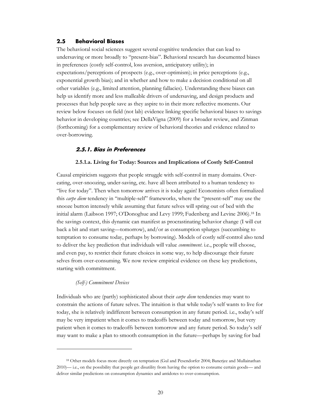#### <span id="page-22-0"></span>**2.5 Behavioral Biases**

The behavioral social sciences suggest several cognitive tendencies that can lead to undersaving or more broadly to "present-bias". Behavioral research has documented biases in preferences (costly self-control, loss aversion, anticipatory utility); in expectations/perceptions of prospects (e.g., over-optimism); in price perceptions (e.g., exponential growth bias); and in whether and how to make a decision conditional on all other variables (e.g., limited attention, planning fallacies). Understanding these biases can help us identify more and less malleable drivers of undersaving, and design products and processes that help people save as they aspire to in their more reflective moments. Our review below focuses on field (not lab) evidence linking specific behavioral biases to savings behavior in developing countries; see DellaVigna (2009) for a broader review, and Zinman (forthcoming) for a complementary review of behavioral theories and evidence related to over-borrowing.

#### **2.5.1. Bias in Preferences**

#### **2.5.1.a. Living for Today: Sources and Implications of Costly Self-Control**

Causal empiricism suggests that people struggle with self-control in many domains. Overeating, over-snoozing, under-saving, etc. have all been attributed to a human tendency to "live for today". Then when tomorrow arrives it is today again! Economists often formalized this *carpe diem* tendency in "multiple-self" frameworks, where the "present-self" may use the snooze button intensely while assuming that future selves will spring out of bed with the initial alarm (Laibson 1997; O'Donoghue and Levy 1999; Fudenberg and Levine 2006). <sup>18</sup> In the savings context, this dynamic can manifest as procrastinating behavior change (I will cut back a bit and start saving—tomorrow), and/or as consumption splurges (succumbing to temptation to consume today, perhaps by borrowing). Models of costly self-control also tend to deliver the key prediction that individuals will value *commitment*. i.e., people will choose, and even pay, to restrict their future choices in some way, to help discourage their future selves from over-consuming. We now review empirical evidence on these key predictions, starting with commitment.

#### *(Self-) Commitment Devices*

 $\overline{a}$ 

Individuals who are (partly) sophisticated about their *carpe diem* tendencies may want to constrain the actions of future selves. The intuition is that while today's self wants to live for today, she is relatively indifferent between consumption in any future period. i.e., today's self may be very impatient when it comes to tradeoffs between today and tomorrow, but very patient when it comes to tradeoffs between tomorrow and any future period. So today's self may want to make a plan to smooth consumption in the future—perhaps by saving for bad

<sup>18</sup> Other models focus more directly on temptation (Gul and Pesendorfer 2004; Banerjee and Mullainathan 2010)— i.e., on the possibility that people get disutility from having the option to consume certain goods— and deliver similar predictions on consumption dynamics and antidotes to over-consumption.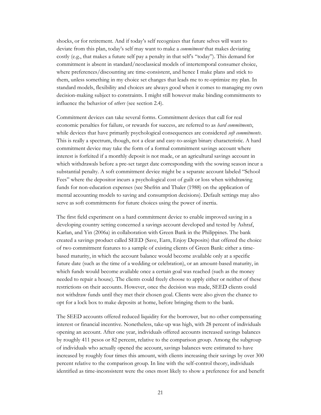shocks, or for retirement. And if today's self recognizes that future selves will want to deviate from this plan, today's self may want to make a *commitment* that makes deviating costly (e.g., that makes a future self pay a penalty in that self's "today"). This demand for commitment is absent in standard/neoclassical models of intertemporal consumer choice, where preferences/discounting are time-consistent, and hence I make plans and stick to them, unless something in my choice set changes that leads me to re-optimize my plan. In standard models, flexibility and choices are always good when it comes to managing my own decision-making subject to constraints. I might still however make binding commitments to influence the behavior of *others* (see section 2.4).

Commitment devices can take several forms. Commitment devices that call for real economic penalties for failure, or rewards for success, are referred to as *hard commitments*, while devices that have primarily psychological consequences are considered *soft commitments*. This is really a spectrum, though, not a clear and easy-to-assign binary characteristic. A hard commitment device may take the form of a formal commitment savings account where interest is forfeited if a monthly deposit is not made, or an agricultural savings account in which withdrawals before a pre-set target date corresponding with the sowing season incur a substantial penalty. A soft commitment device might be a separate account labeled "School Fees" where the depositor incurs a psychological cost of guilt or loss when withdrawing funds for non-education expenses (see Shefrin and Thaler (1988) on the application of mental accounting models to saving and consumption decisions). Default settings may also serve as soft commitments for future choices using the power of inertia.

The first field experiment on a hard commitment device to enable improved saving in a developing country setting concerned a savings account developed and tested by Ashraf, Karlan, and Yin (2006a) in collaboration with Green Bank in the Philippines. The bank created a savings product called SEED (Save, Earn, Enjoy Deposits) that offered the choice of two commitment features to a sample of existing clients of Green Bank: either a timebased maturity, in which the account balance would become available only at a specific future date (such as the time of a wedding or celebration), or an amount-based maturity, in which funds would become available once a certain goal was reached (such as the money needed to repair a house). The clients could freely choose to apply either or neither of these restrictions on their accounts. However, once the decision was made, SEED clients could not withdraw funds until they met their chosen goal. Clients were also given the chance to opt for a lock box to make deposits at home, before bringing them to the bank.

The SEED accounts offered reduced liquidity for the borrower, but no other compensating interest or financial incentive. Nonetheless, take-up was high, with 28 percent of individuals opening an account. After one year, individuals offered accounts increased savings balances by roughly 411 pesos or 82 percent, relative to the comparison group. Among the subgroup of individuals who actually opened the account, savings balances were estimated to have increased by roughly four times this amount, with clients increasing their savings by over 300 percent relative to the comparison group. In line with the self-control theory, individuals identified as time-inconsistent were the ones most likely to show a preference for and benefit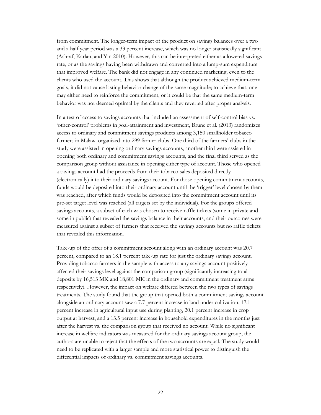from commitment. The longer-term impact of the product on savings balances over a two and a half year period was a 33 percent increase, which was no longer statistically significant (Ashraf, Karlan, and Yin 2010). However, this can be interpreted either as a lowered savings rate, or as the savings having been withdrawn and converted into a lump-sum expenditure that improved welfare. The bank did not engage in any continued marketing, even to the clients who used the account. This shows that although the product achieved medium-term goals, it did not cause lasting behavior change of the same magnitude; to achieve that, one may either need to reinforce the commitment, or it could be that the same medium-term behavior was not deemed optimal by the clients and they reverted after proper analysis.

In a test of access to savings accounts that included an assessment of self-control bias vs. 'other-control' problems in goal-attainment and investment, Brune et al. (2013) randomizes access to ordinary and commitment savings products among 3,150 smallholder tobacco farmers in Malawi organized into 299 farmer clubs. One third of the farmers' clubs in the study were assisted in opening ordinary savings accounts, another third were assisted in opening both ordinary and commitment savings accounts, and the final third served as the comparison group without assistance in opening either type of account. Those who opened a savings account had the proceeds from their tobacco sales deposited directly (electronically) into their ordinary savings account. For those opening commitment accounts, funds would be deposited into their ordinary account until the 'trigger' level chosen by them was reached, after which funds would be deposited into the commitment account until its pre-set target level was reached (all targets set by the individual). For the groups offered savings accounts, a subset of each was chosen to receive raffle tickets (some in private and some in public) that revealed the savings balance in their accounts, and their outcomes were measured against a subset of farmers that received the savings accounts but no raffle tickets that revealed this information.

Take-up of the offer of a commitment account along with an ordinary account was 20.7 percent, compared to an 18.1 percent take-up rate for just the ordinary savings account. Providing tobacco farmers in the sample with access to any savings account positively affected their savings level against the comparison group (significantly increasing total deposits by 16,513 MK and 18,801 MK in the ordinary and commitment treatment arms respectively). However, the impact on welfare differed between the two types of savings treatments. The study found that the group that opened both a commitment savings account alongside an ordinary account saw a 7.7 percent increase in land under cultivation, 17.1 percent increase in agricultural input use during planting, 20.1 percent increase in crop output at harvest, and a 13.5 percent increase in household expenditures in the months just after the harvest vs. the comparison group that received no account. While no significant increase in welfare indicators was measured for the ordinary savings account group, the authors are unable to reject that the effects of the two accounts are equal. The study would need to be replicated with a larger sample and more statistical power to distinguish the differential impacts of ordinary vs. commitment savings accounts.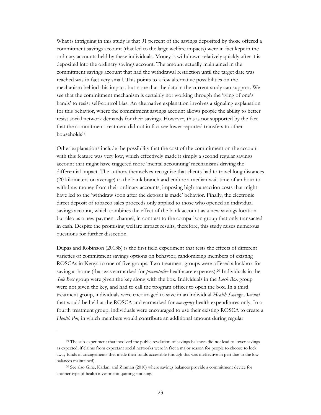What is intriguing in this study is that 91 percent of the savings deposited by those offered a commitment savings account (that led to the large welfare impacts) were in fact kept in the ordinary accounts held by these individuals. Money is withdrawn relatively quickly after it is deposited into the ordinary savings account. The amount actually maintained in the commitment savings account that had the withdrawal restriction until the target date was reached was in fact very small. This points to a few alternative possibilities on the mechanism behind this impact, but none that the data in the current study can support. We see that the commitment mechanism is certainly not working through the 'tying of one's hands' to resist self-control bias. An alternative explanation involves a signaling explanation for this behavior, where the commitment savings account allows people the ability to better resist social network demands for their savings. However, this is not supported by the fact that the commitment treatment did not in fact see lower reported transfers to other households<sup>19</sup> .

Other explanations include the possibility that the cost of the commitment on the account with this feature was very low, which effectively made it simply a second regular savings account that might have triggered more 'mental accounting' mechanisms driving the differential impact. The authors themselves recognize that clients had to travel long distances (20 kilometers on average) to the bank branch and endure a median wait time of an hour to withdraw money from their ordinary accounts, imposing high transaction costs that might have led to the 'withdraw soon after the deposit is made' behavior. Finally, the electronic direct deposit of tobacco sales proceeds only applied to those who opened an individual savings account, which combines the effect of the bank account as a new savings location but also as a new payment channel, in contrast to the comparison group that only transacted in cash. Despite the promising welfare impact results, therefore, this study raises numerous questions for further dissection.

Dupas and Robinson (2013b) is the first field experiment that tests the effects of different varieties of commitment savings options on behavior, randomizing members of existing ROSCAs in Kenya to one of five groups. Two treatment groups were offered a lockbox for saving at home (that was earmarked for *preventative* healthcare expenses). <sup>20</sup> Individuals in the *Safe Box* group were given the key along with the box. Individuals in the *Lock Box* group were not given the key, and had to call the program officer to open the box. In a third treatment group, individuals were encouraged to save in an individual *Health Savings Account* that would be held at the ROSCA and earmarked for *emergency* health expenditures only. In a fourth treatment group, individuals were encouraged to use their existing ROSCA to create a *Health Pot,* in which members would contribute an additional amount during regular

<sup>19</sup> The sub-experiment that involved the public revelation of savings balances did not lead to lower savings as expected, if claims from expectant social networks were in fact a major reason for people to choose to lock away funds in arrangements that made their funds accessible (though this was ineffective in part due to the low balances maintained).

<sup>20</sup> See also Giné, Karlan, and Zinman (2010) where savings balances provide a commitment device for another type of health investment: quitting smoking.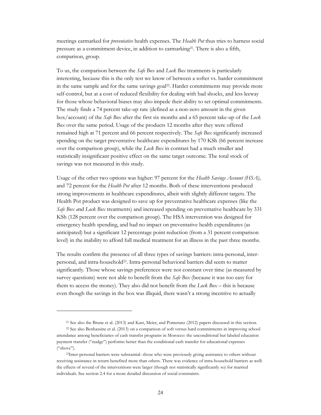meetings earmarked for *preventative* health expenses. The *Health Pot* thus tries to harness social pressure as a commitment device, in addition to earmarking<sup>21</sup>. There is also a fifth, comparison, group.

To us, the comparison between the *Safe Box* and *Lock Box* treatments is particularly interesting, because this is the only test we know of between a softer vs. harder commitment in the same sample and for the same savings goal<sup>22</sup>. Harder commitments may provide more self-control, but at a cost of reduced flexibility for dealing with bad shocks, and less leeway for those whose behavioral biases may also impede their ability to set optimal commitments. The study finds a 74 percent take-up rate (defined as a non-zero amount in the given box/account) of the *Safe Box* after the first six months and a 65 percent take-up of the *Lock Box* over the same period. Usage of the products 12 months after they were offered remained high at 71 percent and 66 percent respectively. The *Safe Box* significantly increased spending on the target preventative healthcare expenditures by 170 KSh (66 percent increase over the comparison group), while the *Lock Box* in contrast had a much smaller and statistically insignificant positive effect on the same target outcome. The total stock of savings was not measured in this study.

Usage of the other two options was higher: 97 percent for the *Health Savings Account (HSA)*, and 72 percent for the *Health Pot* after 12 months. Both of these interventions produced strong improvements in healthcare expenditures, albeit with slightly different targets. The Health Pot product was designed to save up for preventative healthcare expenses (like the *Safe Box a*nd *Lock Box* treatments) and increased spending on preventative healthcare by 331 KSh (128 percent over the comparison group). The HSA intervention was designed for emergency health spending, and had no impact on preventative health expenditures (as anticipated) but a significant 12 percentage point reduction (from a 31 percent comparison level) in the inability to afford full medical treatment for an illness in the past three months.

The results confirm the presence of all three types of savings barriers: intra-personal, interpersonal, and intra-household23. Intra-personal behavioral barriers did seem to matter significantly. Those whose savings preferences were not constant over time (as measured by survey questions) were not able to benefit from the *Safe Box* (because it was too easy for them to access the money). They also did not benefit from the *Lock Box* – this is because even though the savings in the box was illiquid, there wasn't a strong incentive to actually

<sup>21</sup> See also the Brune et al. (2013) and Kast, Meier, and Pomeranz (2012) papers discussed in this section.

<sup>22</sup> See also Benhassine et al. (2013) on a comparison of soft versus hard commitments in improving school attendance among beneficiaries of cash transfer programs in Morocco: the unconditional but labeled education payment transfer ("nudge") performs better than the conditional cash transfer for educational expenses ("shove").

<sup>23</sup>Inter-personal barriers were substantial--those who were previously giving assistance to others without receiving assistance in return benefited more than others. There was evidence of intra-household barriers as well: the effects of several of the interventions were larger (though not statistically significantly so) for married individuals. See section 2.4 for a more detailed discussion of social constraints.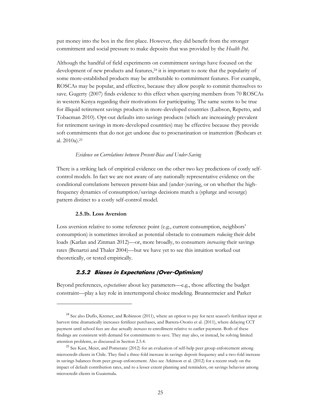put money into the box in the first place. However, they did benefit from the stronger commitment and social pressure to make deposits that was provided by the *Health Pot*.

Although the handful of field experiments on commitment savings have focused on the development of new products and features,<sup>24</sup> it is important to note that the popularity of some more-established products may be attributable to commitment features. For example, ROSCAs may be popular, and effective, because they allow people to commit themselves to save. Gugerty (2007) finds evidence to this effect when querying members from 70 ROSCAs in western Kenya regarding their motivations for participating. The same seems to be true for illiquid retirement savings products in more-developed countries (Laibson, Repetto, and Tobacman 2010). Opt-out defaults into savings products (which are increasingly prevalent for retirement savings in more-developed countries) may be effective because they provide soft commitments that do not get undone due to procrastination or inattention (Beshears et al. 2010a). 25

#### *Evidence on Correlations between Present-Bias and Under-Saving*

There is a striking lack of empirical evidence on the other two key predictions of costly selfcontrol models. In fact we are not aware of any nationally representative evidence on the conditional correlations between present-bias and (under-)saving, or on whether the highfrequency dynamics of consumption/savings decisions match a (splurge and scourge) pattern distinct to a costly self-control model.

#### **2.5.1b. Loss Aversion**

 $\overline{a}$ 

Loss aversion relative to some reference point (e.g., current consumption, neighbors' consumption) is sometimes invoked as potential obstacle to consumers *reducing* their debt loads (Karlan and Zinman 2012)—or, more broadly, to consumers *increasing* their savings rates (Benartzi and Thaler 2004)—but we have yet to see this intuition worked out theoretically, or tested empirically.

#### **2.5.2 Biases in Expectations (Over-Optimism)**

Beyond preferences, *expectations* about key parameters—e.g., those affecting the budget constraint—play a key role in intertemporal choice modeling. Brunnermeier and Parker

 $24$  See also Duflo, Kremer, and Robinson (2011), where an option to pay for next season's fertilizer input at harvest time dramatically increases fertilizer purchases, and Barrera-Osorio et al. (2011), where delaying CCT payment until school fees are due actually *increases* re-enrollment relative to earlier payment. Both of these findings are consistent with demand for commitments to save. They may also, or instead, be solving limited attention problems, as discussed in Section 2.5.4.

<sup>&</sup>lt;sup>25</sup> See Kast, Meier, and Pomeranz (2012) for an evaluation of self-help peer group enforcement among microcredit clients in Chile. They find a three-fold increase in savings deposit frequency and a two-fold increase in savings balances from peer group enforcement. Also see Atkinson et al. (2012) for a recent study on the impact of default contribution rates, and to a lesser extent planning and reminders, on savings behavior among microcredit clients in Guatemala.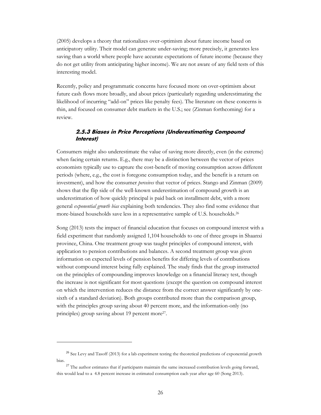(2005) develops a theory that rationalizes over-optimism about future income based on anticipatory utility. Their model can generate under-saving; more precisely, it generates less saving than a world where people have accurate expectations of future income (because they do not get utility from anticipating higher income). We are not aware of any field tests of this interesting model.

Recently, policy and programmatic concerns have focused more on over-optimism about future cash flows more broadly, and about prices (particularly regarding underestimating the likelihood of incurring "add-on" prices like penalty fees). The literature on these concerns is thin, and focused on consumer debt markets in the U.S.; see (Zinman forthcoming) for a review.

### **2.5.3 Biases in Price Perceptions (Underestimating Compound Interest)**

Consumers might also underestimate the value of saving more directly, even (in the extreme) when facing certain returns. E.g., there may be a distinction between the vector of prices economists typically use to capture the cost-benefit of moving consumption across different periods (where, e.g., the cost is foregone consumption today, and the benefit is a return on investment), and how the consumer *perceives* that vector of prices. Stango and Zinman (2009) shows that the flip side of the well-known underestimation of compound growth is an underestimation of how quickly principal is paid back on installment debt, with a more general *exponential growth bias* explaining both tendencies. They also find some evidence that more-biased households save less in a representative sample of U.S. households.<sup>26</sup>

Song (2013) tests the impact of financial education that focuses on compound interest with a field experiment that randomly assigned 1,104 households to one of three groups in Shaanxi province, China. One treatment group was taught principles of compound interest, with application to pension contributions and balances. A second treatment group was given information on expected levels of pension benefits for differing levels of contributions without compound interest being fully explained. The study finds that the group instructed on the principles of compounding improves knowledge on a financial literacy test, though the increase is not significant for most questions (except the question on compound interest on which the intervention reduces the distance from the correct answer significantly by onesixth of a standard deviation). Both groups contributed more than the comparison group, with the principles group saving about 40 percent more, and the information-only (no principles) group saving about 19 percent more<sup>27</sup>.

<sup>&</sup>lt;sup>26</sup> See Levy and Tasoff (2013) for a lab experiment testing the theoretical predictions of exponential growth bias.

<sup>&</sup>lt;sup>27</sup> The author estimates that if participants maintain the same increased contribution levels going forward, this would lead to a 4.8 percent increase in estimated consumption each year after age 60 (Song 2013).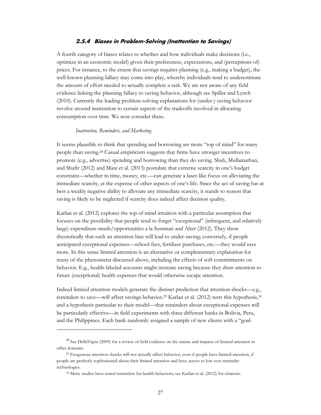#### **2.5.4 Biases in Problem-Solving (Inattention to Savings)**

A fourth category of biases relates to whether and how individuals make decisions (i.e., optimize in an economic model) given their preferences, expectations, and (perceptions of) prices. For instance, to the extent that savings requires planning (e.g., making a budget), the well-known planning fallacy may come into play, whereby individuals tend to underestimate the amount of effort needed to actually complete a task. We are not aware of any field evidence linking the planning fallacy to saving behavior, although see Spiller and Lynch (2010). Currently the leading problem-solving explanations for (under-) saving behavior revolve around inattention to certain aspects of the tradeoffs involved in allocating consumption over time. We now consider these.

#### *Inattention, Reminders, and Marketing*

 $\overline{a}$ 

It seems plausible to think that spending and borrowing are more "top of mind" for many people than saving.<sup>28</sup> Casual empiricism suggests that firms have stronger incentives to promote (e.g., advertise) spending and borrowing than they do saving. Shah, Mullainathan, and Shafir (2012) and Mani et al. (2013) postulate that extreme scarcity in one's budget constraint—whether in time, money, etc.—can generate a laser-like focus on alleviating the immediate scarcity, at the expense of other aspects of one's life. Since the act of saving has at best a weakly negative ability to alleviate any immediate scarcity, it stands to reason that saving is likely to be neglected if scarcity does indeed affect decision quality.

Karlan et al. (2012) explores the top of mind intuition with a particular assumption that focuses on the possibility that people tend to forget "exceptional" (infrequent, and relatively large) expenditure needs/opportunities a la Sussman and Alter (2012). They show theoretically that such an attention bias will lead to under-saving; conversely, if people anticipated exceptional expenses—school fees, fertilizer purchases, etc.—they would save more. In this sense limited attention is an alternative or complementary explanation for many of the phenomena discussed above, including the effects of soft commitments on behavior. E.g., health-labeled accounts might increase saving because they draw attention to future (exceptional) health expenses that would otherwise escape attention.

Indeed limited attention models generate the distinct prediction that attention shocks—e.g., reminders to save—will affect savings behavior.<sup>29</sup> Karlan et al. (2012) tests this hypothesis,<sup>30</sup> and a hypothesis particular to their model—that reminders about exceptional expenses will be particularly effective—in field experiments with three different banks in Bolivia, Peru, and the Philippines. Each bank randomly assigned a sample of new clients with a "goal-

<sup>&</sup>lt;sup>28</sup> See DellaVigna (2009) for a review of field evidence on the nature and impacts of limited attention in other domains.

<sup>29</sup> Exogenous attention shocks will not actually affect behavior, even if people have limited attention, if people are perfectly sophisticated about their limited attention and have access to low-cost reminder technologies.

<sup>30</sup> Many studies have tested reminders for health behaviors; see Karlan et al. (2012) for citations.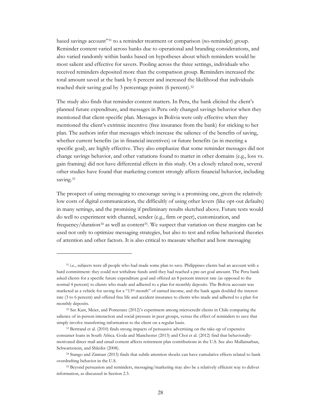based savings account"<sup>31</sup> to a reminder treatment or comparison (no-reminder) group. Reminder content varied across banks due to operational and branding considerations, and also varied randomly within banks based on hypotheses about which reminders would be most salient and effective for savers. Pooling across the three settings, individuals who received reminders deposited more than the comparison group. Reminders increased the total amount saved at the bank by 6 percent and increased the likelihood that individuals reached their saving goal by 3 percentage points (6 percent).<sup>32</sup>

The study also finds that reminder content matters. In Peru, the bank elicited the client's planned future expenditure, and messages in Peru only changed savings behavior when they mentioned that client-specific plan. Messages in Bolivia were only effective when they mentioned the client's extrinsic incentive (free insurance from the bank) for sticking to her plan. The authors infer that messages which increase the salience of the benefits of saving, whether current benefits (as in financial incentives) or future benefits (as in meeting a specific goal), are highly effective. They also emphasize that some reminder messages did not change savings behavior, and other variations found to matter in other domains (e.g., loss vs. gain framing) did not have differential effects in this study. On a closely related note, several other studies have found that marketing content strongly affects financial behavior, including saving.<sup>33</sup>

The prospect of using messaging to encourage saving is a promising one, given the relatively low costs of digital communication, the difficultly of using other levers (like opt-out defaults) in many settings, and the promising if preliminary results sketched above. Future tests would do well to experiment with channel, sender (e.g., firm or peer), customization, and frequency/duration<sup>34</sup> as well as content<sup>35</sup>. We suspect that variation on these margins can be used not only to optimize messaging strategies, but also to test and refine behavioral theories of attention and other factors. It is also critical to measure whether and how messaging

<sup>&</sup>lt;sup>31</sup> i.e., subjects were all people who had made some plan to save. Philippines clients had an account with a hard commitment: they could not withdraw funds until they had reached a pre-set goal amount. The Peru bank asked clients for a specific future expenditure goal and offered an 8 percent interest rate (as opposed to the normal 4 percent) to clients who made and adhered to a plan for monthly deposits. The Bolivia account was marketed as a vehicle for saving for a "13<sup>th</sup>-month" of earned income, and the bank again doubled the interest rate (3 to 6 percent) and offered free life and accident insurance to clients who made and adhered to a plan for monthly deposits.

<sup>32</sup> See Kast, Meier, and Pomeranz (2012)'s experiment among microcredit clients in Chile comparing the salience of in-person interaction and social pressure in peer groups, versus the effect of reminders to save that simply involve transferring information to the client on a regular basis.

<sup>33</sup> Bertrand et al. (2010) finds strong impacts of persuasive advertising on the take-up of expensive consumer loans in South Africa. Goda and Manchester (2013) and Choi et al. (2012) find that behaviorallymotivated direct mail and email content affects retirement plan contributions in the U.S. See also Mullainathan, Schwartzstein, and Shleifer (2008).

<sup>34</sup> Stango and Zinman (2013) finds that subtle attention shocks can have cumulative effects related to bank overdrafting behavior in the U.S.

<sup>35</sup> Beyond persuasion and reminders, messaging/marketing may also be a relatively efficient way to deliver information, as discussed in Section 2.3.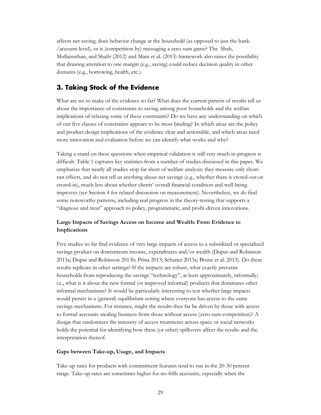affects net saving; does behavior change at the household (as opposed to just the bank- /account-level), or is (competition by) messaging a zero-sum game? The Shah, Mullainathan, and Shafir (2012) and Mani et al. (2013) framework also raises the possibility that drawing attention to one margin (e.g., saving) could reduce decision quality in other domains (e.g., borrowing, health, etc.).

## <span id="page-31-0"></span>**3. Taking Stock of the Evidence**

What are we to make of the evidence so far? What does the current pattern of results tell us about the importance of constraints to saving among poor households and the welfare implications of relaxing some of these constraints? Do we have any understanding on which of our five classes of constraints appears to be most binding? In which areas are the policy and product design implications of the evidence clear and actionable, and which areas need more innovation and evaluation before we can identify what works and why?

Taking a stand on these questions when empirical validation is still very much in-progress is difficult. Table 1 captures key statistics from a number of studies discussed in this paper. We emphasize that nearly all studies stop far short of welfare analysis: they measure only shortrun effects, and do not tell us anything about net savings (e.g., whether there is crowd-out or crowd-in), much less about whether clients' overall financial condition and well-being improves (see Section 4 for related discussion on measurement). Nevertheless, we do find some noteworthy patterns, including real progress in the theory-testing that supports a "diagnose and treat" approach to policy, programmatic, and profit-driven innovations.

## **Large Impacts of Savings Access on Income and Wealth: From Evidence to Implications**

Five studies so far find evidence of very large impacts of access to a subsidized or specialized savings product on downstream income, expenditures and/or wealth (Dupas and Robinson 2013a; Dupas and Robinson 2013b; Prina 2013; Schaner 2013a; Brune et al. 2013). Do these results replicate in other settings? If the impacts are robust, what exactly prevents households from reproducing the savings "technology", at least approximately, informally; i.e., what is it about the new formal (or improved informal) products that dominates other informal mechanisms? It would be particularly interesting to test whether large impacts would persist in a (general) equilibrium setting where everyone has access to the same savings mechanisms. For instance, might the results thus far be driven by those with access to formal accounts stealing business from those without access (zero-sum competition)? A design that randomizes the intensity of access treatments across space or social networks holds the potential for identifying how these (or other) spillovers affect the results and the interpretation thereof.

#### **Gaps between Take-up, Usage, and Impacts**

Take-up rates for products with commitment features tend to run in the 20-30 percent range. Take-up rates are sometimes higher for no-frills accounts, especially when the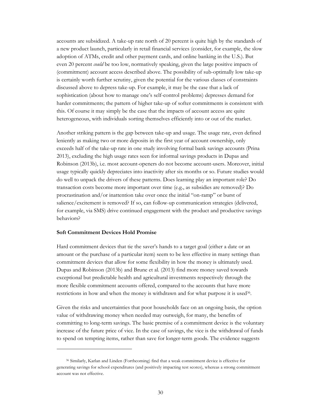accounts are subsidized. A take-up rate north of 20 percent is quite high by the standards of a new product launch, particularly in retail financial services (consider, for example, the slow adoption of ATMs, credit and other payment cards, and online banking in the U.S.). But even 20 percent *could* be too low, normatively speaking, given the large positive impacts of (commitment) account access described above. The possibility of sub-optimally low take-up is certainly worth further scrutiny, given the potential for the various classes of constraints discussed above to depress take-up. For example, it may be the case that a lack of sophistication (about how to manage one's self-control problems) depresses demand for harder commitments; the pattern of higher take-up of softer commitments is consistent with this. Of course it may simply be the case that the impacts of account access are quite heterogeneous, with individuals sorting themselves efficiently into or out of the market.

Another striking pattern is the gap between take-up and usage. The usage rate, even defined leniently as making two or more deposits in the first year of account ownership, only exceeds half of the take-up rate in one study involving formal bank savings accounts (Prina 2013), excluding the high usage rates seen for informal savings products in Dupas and Robinson (2013b), i.e. most account-openers do not become account-users. Moreover, initial usage typically quickly depreciates into inactivity after six months or so. Future studies would do well to unpack the drivers of these patterns. Does learning play an important role? Do transaction costs become more important over time (e.g., as subsidies are removed)? Do procrastination and/or inattention take over once the initial "on-ramp" or burst of salience/excitement is removed? If so, can follow-up communication strategies (delivered, for example, via SMS) drive continued engagement with the product and productive savings behaviors?

#### **Soft Commitment Devices Hold Promise**

 $\overline{a}$ 

Hard commitment devices that tie the saver's hands to a target goal (either a date or an amount or the purchase of a particular item) seem to be less effective in many settings than commitment devices that allow for some flexibility in how the money is ultimately used. Dupas and Robinson (2013b) and Brune et al. (2013) find more money saved towards exceptional but predictable health and agricultural investments respectively through the more flexible commitment accounts offered, compared to the accounts that have more restrictions in how and when the money is withdrawn and for what purpose it is used<sup>36</sup>.

Given the risks and uncertainties that poor households face on an ongoing basis, the option value of withdrawing money when needed may outweigh, for many, the benefits of committing to long-term savings. The basic premise of a commitment device is the voluntary increase of the future price of vice. In the case of savings, the vice is the withdrawal of funds to spend on tempting items, rather than save for longer-term goods. The evidence suggests

<sup>36</sup> Similarly, Karlan and Linden (Forthcoming) find that a weak commitment device is effective for generating savings for school expenditures (and positively impacting test scores), whereas a strong commitment account was not effective.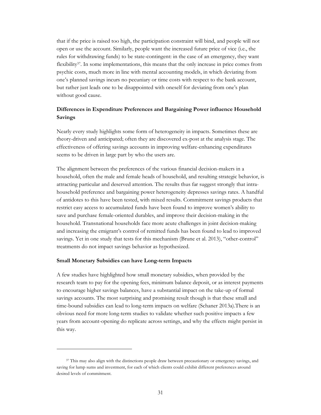that if the price is raised too high, the participation constraint will bind, and people will not open or use the account. Similarly, people want the increased future price of vice (i.e., the rules for withdrawing funds) to be state-contingent: in the case of an emergency, they want flexibility<sup>37</sup>. In some implementations, this means that the only increase in price comes from psychic costs, much more in line with mental accounting models, in which deviating from one's planned savings incurs no pecuniary or time costs with respect to the bank account, but rather just leads one to be disappointed with oneself for deviating from one's plan without good cause.

## **Differences in Expenditure Preferences and Bargaining Power influence Household Savings**

Nearly every study highlights some form of heterogeneity in impacts. Sometimes these are theory-driven and anticipated; often they are discovered ex-post at the analysis stage. The effectiveness of offering savings accounts in improving welfare-enhancing expenditures seems to be driven in large part by who the users are.

The alignment between the preferences of the various financial decision-makers in a household, often the male and female heads of household, and resulting strategic behavior, is attracting particular and deserved attention. The results thus far suggest strongly that intrahousehold preference and bargaining power heterogeneity depresses savings rates. A handful of antidotes to this have been tested, with mixed results. Commitment savings products that restrict easy access to accumulated funds have been found to improve women's ability to save and purchase female-oriented durables, and improve their decision-making in the household. Transnational households face more acute challenges in joint decision-making and increasing the emigrant's control of remitted funds has been found to lead to improved savings. Yet in one study that tests for this mechanism (Brune et al. 2013), "other-control" treatments do not impact savings behavior as hypothesized.

#### **Small Monetary Subsidies can have Long-term Impacts**

 $\overline{a}$ 

A few studies have highlighted how small monetary subsidies, when provided by the research team to pay for the opening fees, minimum balance deposit, or as interest payments to encourage higher savings balances, have a substantial impact on the take-up of formal savings accounts. The most surprising and promising result though is that these small and time-bound subsidies can lead to long-term impacts on welfare (Schaner 2013a).There is an obvious need for more long-term studies to validate whether such positive impacts a few years from account-opening do replicate across settings, and why the effects might persist in this way.

<sup>37</sup> This may also align with the distinctions people draw between precautionary or emergency savings, and saving for lump sums and investment, for each of which clients could exhibit different preferences around desired levels of commitment.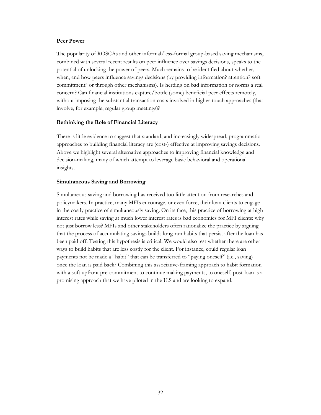#### **Peer Power**

The popularity of ROSCAs and other informal/less-formal group-based saving mechanisms, combined with several recent results on peer influence over savings decisions, speaks to the potential of unlocking the power of peers. Much remains to be identified about whether, when, and how peers influence savings decisions (by providing information? attention? soft commitment? or through other mechanisms). Is herding on bad information or norms a real concern? Can financial institutions capture/bottle (some) beneficial peer effects remotely, without imposing the substantial transaction costs involved in higher-touch approaches (that involve, for example, regular group meetings)?

#### **Rethinking the Role of Financial Literacy**

There is little evidence to suggest that standard, and increasingly widespread, programmatic approaches to building financial literacy are (cost-) effective at improving savings decisions. Above we highlight several alternative approaches to improving financial knowledge and decision-making, many of which attempt to leverage basic behavioral and operational insights.

#### **Simultaneous Saving and Borrowing**

Simultaneous saving and borrowing has received too little attention from researches and policymakers. In practice, many MFIs encourage, or even force, their loan clients to engage in the costly practice of simultaneously saving. On its face, this practice of borrowing at high interest rates while saving at much lower interest rates is bad economics for MFI clients: why not just borrow less? MFIs and other stakeholders often rationalize the practice by arguing that the process of accumulating savings builds long-run habits that persist after the loan has been paid off. Testing this hypothesis is critical. We would also test whether there are other ways to build habits that are less costly for the client. For instance, could regular loan payments not be made a "habit" that can be transferred to "paying oneself" (i.e., saving) once the loan is paid back? Combining this associative-framing approach to habit formation with a soft upfront pre-commitment to continue making payments, to oneself, post-loan is a promising approach that we have piloted in the U.S and are looking to expand.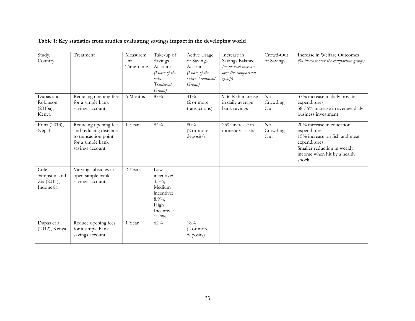| Study,<br>Country                                 | Treatment                                                                                                      | Measurem<br>ent<br>Timeframe | Take-up of<br>Savings<br>Account<br>(Share of the<br>entire<br>Treatment<br>Group)                  | Active Usage<br>of Savings<br>Account<br>(Share of the<br>entire Treatment<br>Group) | Increase in<br>Savings Balance<br>(% or level increase)<br>over the comparison<br>group) | Crowd-Out<br>of Savings      | Increase in Welfare Outcomes<br>(% increase over the comparison group)                                                                                                |
|---------------------------------------------------|----------------------------------------------------------------------------------------------------------------|------------------------------|-----------------------------------------------------------------------------------------------------|--------------------------------------------------------------------------------------|------------------------------------------------------------------------------------------|------------------------------|-----------------------------------------------------------------------------------------------------------------------------------------------------------------------|
| Dupas and<br>Robinson<br>(2013a),<br>Kenya        | Reducing opening fees<br>for a simple bank<br>savings account                                                  | 6 Months                     | 87%                                                                                                 | 41%<br>(2 or more<br>transactions)                                                   | 9.36 Ksh increase<br>in daily average<br>bank savings                                    | No<br>Crowding-<br>Out       | 37% increase in daily private<br>expenditures;<br>38-56% increase in average daily<br>business investment                                                             |
| Prina (2013),<br>Nepal                            | Reducing opening fees<br>and reducing distance<br>to transaction point<br>for a simple bank<br>savings account | 1 Year                       | 84%                                                                                                 | 80%<br>(2 or more<br>deposits)                                                       | 25% increase in<br>monetary assets                                                       | $\rm No$<br>Crowding-<br>Out | 20% increase in educational<br>expenditures;<br>15% increase on fish and meat<br>expenditures;<br>Smaller reduction in weekly<br>income when hit by a health<br>shock |
| Cole,<br>Sampson, and<br>Zia (2011),<br>Indonesia | Varying subsidies to<br>open simple bank<br>savings accounts                                                   | 2 Years                      | Low<br>incentive:<br>$3.5\%;$<br>Medium<br>incentive:<br>$8.9\%;$<br>High<br>Incentive:<br>$12.7\%$ |                                                                                      |                                                                                          |                              |                                                                                                                                                                       |
| Dupas et al.<br>(2012), Kenya                     | Reduce opening fees<br>for a simple bank<br>savings account                                                    | 1 Year                       | 62%                                                                                                 | 18%<br>$(2 \text{ or more})$<br>deposits)                                            |                                                                                          |                              |                                                                                                                                                                       |

## **Table 1: Key statistics from studies evaluating savings impact in the developing world**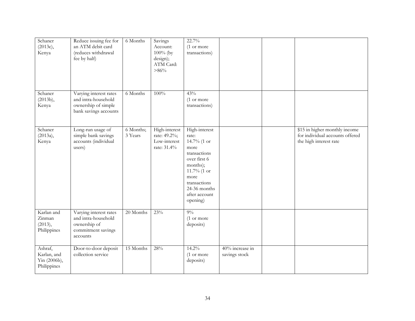| Schaner<br>(2013c),<br>Kenya                          | Reduce issuing fee for<br>an ATM debit card<br>(reduces withdrawal<br>fee by half)              | 6 Months             | Savings<br>Account:<br>$100\%$ (by<br>design);<br>ATM Card:<br>$>86\%$ | 22.7%<br>$(1 \text{ or more})$<br>transactions)                                                                                                                                  |                                                  |                                                                                            |
|-------------------------------------------------------|-------------------------------------------------------------------------------------------------|----------------------|------------------------------------------------------------------------|----------------------------------------------------------------------------------------------------------------------------------------------------------------------------------|--------------------------------------------------|--------------------------------------------------------------------------------------------|
| Schaner<br>(2013b),<br>Kenya                          | Varying interest rates<br>and intra-household<br>ownership of simple<br>bank savings accounts   | 6 Months             | 100%                                                                   | 43%<br>(1 or more<br>transactions)                                                                                                                                               |                                                  |                                                                                            |
| Schaner<br>(2013a),<br>Kenya                          | Long-run usage of<br>simple bank savings<br>accounts (individual<br>users)                      | 6 Months;<br>3 Years | High-interest<br>rate: 49.2%;<br>Low-interest<br>rate: 31.4%           | High-interest<br>rate:<br>14.7% (1 or<br>more<br>transactions<br>over first 6<br>months);<br>$11.7\%$ (1 or<br>more<br>transactions<br>24-36 months<br>after account<br>opening) |                                                  | \$15 in higher monthly income<br>for individual accounts offered<br>the high interest rate |
| Karlan and<br>Zinman<br>(2013),<br>Philippines        | Varying interest rates<br>and intra-household<br>ownership of<br>commitment savings<br>accounts | 20 Months            | 23%                                                                    | $9\%$<br>(1 or more<br>deposits)                                                                                                                                                 |                                                  |                                                                                            |
| Ashraf,<br>Karlan, and<br>Yin (2006b),<br>Philippines | Door-to-door deposit<br>collection service                                                      | 15 Months            | 28%                                                                    | 14.2%<br>(1 or more<br>deposits)                                                                                                                                                 | $\frac{40\%}{40\%}$ increase in<br>savings stock |                                                                                            |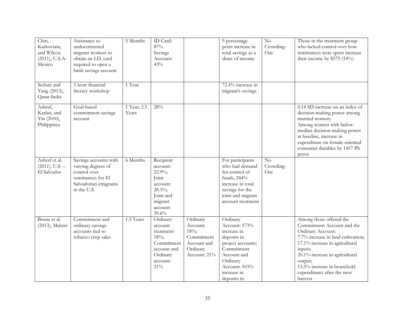| $\overline{\text{Chin}}$ ,<br>Karkoviata,<br>and Wilcox<br>$(2011)$ , U.S.A-<br>Mexico | Assistance to<br>undocumented<br>migrant workers to<br>obtain an I.D. card<br>required to open a<br>bank savings account  | 5 Months             | ID Card:<br>87%<br>Savings<br>Account:<br>43%                                                                     |                                                                                       | 9 percentage<br>point increase in<br>total savings as a<br>share of income                                                                                           | $\overline{\text{No}}$<br>Crowding-<br>Out | Those in the treatment group<br>who lacked control over how<br>remittances were spent increase<br>their income by $$575 (14%)$                                                                                                                                                      |
|----------------------------------------------------------------------------------------|---------------------------------------------------------------------------------------------------------------------------|----------------------|-------------------------------------------------------------------------------------------------------------------|---------------------------------------------------------------------------------------|----------------------------------------------------------------------------------------------------------------------------------------------------------------------|--------------------------------------------|-------------------------------------------------------------------------------------------------------------------------------------------------------------------------------------------------------------------------------------------------------------------------------------|
| Seshan and<br>Yang (2013),<br>Qatar-India                                              | 5 hour financial<br>literacy workshop                                                                                     | 1 Year               |                                                                                                                   |                                                                                       | 72.4% increase in<br>migrant's savings                                                                                                                               |                                            |                                                                                                                                                                                                                                                                                     |
| Ashraf,<br>Karlan, and<br>Yin (2010),<br>Philippines                                   | Goal-based<br>commitment savings<br>account                                                                               | 1 Year; 2.5<br>Years | $28\%$                                                                                                            |                                                                                       |                                                                                                                                                                      |                                            | 0.14 SD increase on an index of<br>decision-making power among<br>married women;<br>Among women with below-<br>median decision-making power<br>at baseline, increase in<br>expenditure on female-oriented<br>consumer durables by 1457 Ph<br>pesos                                  |
| Ashraf et al.<br>$(2011)$ , U.S. -<br>El Salvador                                      | Savings accounts with<br>varying degrees of<br>control over<br>remittances for El<br>Salvadorian emigrants<br>in the U.S. | 6 Months             | Recipient<br>account:<br>$22.9\%;$<br>Joint<br>account:<br>$28.3\%;$<br>Joint and<br>migrant<br>account:<br>39.6% |                                                                                       | For participants<br>who had demand<br>for control of<br>funds, 244%<br>increase in total<br>savings for the<br>joint and migrant<br>account treatment                | $\overline{\text{No}}$<br>Crowding-<br>Out |                                                                                                                                                                                                                                                                                     |
| Brune et al.<br>(2013), Malawi                                                         | Commitment and<br>ordinary savings<br>accounts tied to<br>tobacco crop sales                                              | 1.5 Years            | Ordinary<br>account<br>treatment:<br>18%;<br>Commitment<br>account and<br>Ordinary<br>account:<br>21%             | Ordinary<br>Account:<br>18%;<br>Commitment<br>Account and<br>Ordinary<br>Account: 21% | Ordinary<br>Account: 573%<br>increase in<br>deposits in<br>project accounts;<br>Commitment<br>Account and<br>Ordinary<br>Account: 503%<br>increase in<br>deposits in |                                            | Among those offered the<br>Commitment Account and the<br>Ordinary Account:<br>7.7% increase in land cultivation;<br>17.1% increase in agricultural<br>inputs;<br>20.1% increase in agricultural<br>output;<br>13.5% increase in household<br>expenditures after the next<br>harvest |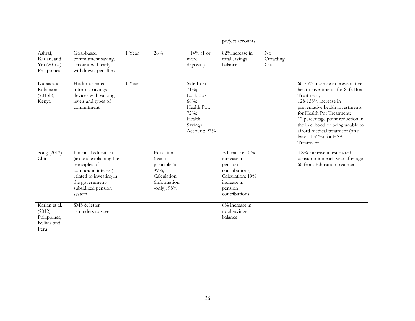|                                                                 |                                                                                                                                                                    |        |                                                                                                       |                                                                                                             | project accounts                                                                                                          |                        |                                                                                                                                                                                                                                                                                                                          |
|-----------------------------------------------------------------|--------------------------------------------------------------------------------------------------------------------------------------------------------------------|--------|-------------------------------------------------------------------------------------------------------|-------------------------------------------------------------------------------------------------------------|---------------------------------------------------------------------------------------------------------------------------|------------------------|--------------------------------------------------------------------------------------------------------------------------------------------------------------------------------------------------------------------------------------------------------------------------------------------------------------------------|
| Ashraf,<br>Karlan, and<br>Yin (2006a),<br>Philippines           | Goal-based<br>commitment savings<br>account with early-<br>withdrawal penalties                                                                                    | 1 Year | 28%                                                                                                   | $\sim$ 14% (1 or<br>more<br>deposits)                                                                       | 82%increase in<br>total savings<br>balance                                                                                | No<br>Crowding-<br>Out |                                                                                                                                                                                                                                                                                                                          |
| Dupas and<br>Robinson<br>(2013b),<br>Kenya                      | Health-oriented<br>informal savings<br>devices with varying<br>levels and types of<br>commitment                                                                   | 1 Year |                                                                                                       | Safe Box:<br>$71\%;$<br>Lock Box:<br>$66\%;$<br>Health Pot:<br>$72\%;$<br>Health<br>Savings<br>Account: 97% |                                                                                                                           |                        | 66-75% increase in preventative<br>health investments for Safe Box<br>Treatment;<br>128-138% increase in<br>preventative health investments<br>for Health Pot Treatment;<br>12 percentage point reduction in<br>the likelihood of being unable to<br>afford medical treatment (on a<br>base of 31%) for HSA<br>Treatment |
| Song (2013),<br>China                                           | Financial education<br>(around explaining the<br>principles of<br>compound interest)<br>related to investing in<br>the government-<br>subsidized pension<br>system |        | Education<br>(teach<br>principles):<br>$99\%;$<br>Calculation<br><i>(information</i><br>-only): $98%$ |                                                                                                             | Education: 40%<br>increase in<br>pension<br>contributions;<br>Calculation: 19%<br>increase in<br>pension<br>contributions |                        | 4.8% increase in estimated<br>consumption each year after age<br>60 from Education treatment                                                                                                                                                                                                                             |
| Karlan et al.<br>(2012),<br>Philippines,<br>Bolivia and<br>Peru | SMS & letter<br>reminders to save                                                                                                                                  |        |                                                                                                       |                                                                                                             | $6\%$ increase in<br>total savings<br>balance                                                                             |                        |                                                                                                                                                                                                                                                                                                                          |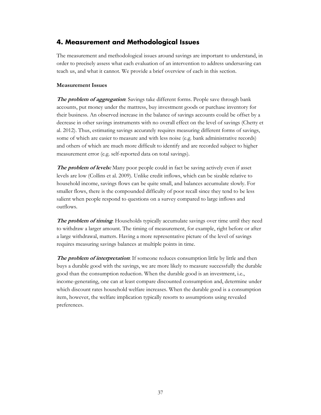## <span id="page-39-0"></span>**4. Measurement and Methodological Issues**

The measurement and methodological issues around savings are important to understand, in order to precisely assess what each evaluation of an intervention to address undersaving can teach us, and what it cannot. We provide a brief overview of each in this section.

#### **Measurement Issues**

**The problem of aggregation**: Savings take different forms. People save through bank accounts, put money under the mattress, buy investment goods or purchase inventory for their business. An observed increase in the balance of savings accounts could be offset by a decrease in other savings instruments with no overall effect on the level of savings (Chetty et al. 2012). Thus, estimating savings accurately requires measuring different forms of savings, some of which are easier to measure and with less noise (e.g. bank administrative records) and others of which are much more difficult to identify and are recorded subject to higher measurement error (e.g. self-reported data on total savings).

**The problem of levels:** Many poor people could in fact be saving actively even if asset levels are low (Collins et al. 2009). Unlike credit inflows, which can be sizable relative to household income, savings flows can be quite small, and balances accumulate slowly. For smaller flows, there is the compounded difficulty of poor recall since they tend to be less salient when people respond to questions on a survey compared to large inflows and outflows.

**The problem of timing:** Households typically accumulate savings over time until they need to withdraw a larger amount. The timing of measurement, for example, right before or after a large withdrawal, matters. Having a more representative picture of the level of savings requires measuring savings balances at multiple points in time.

**The problem of interpretation**: If someone reduces consumption little by little and then buys a durable good with the savings, we are more likely to measure successfully the durable good than the consumption reduction. When the durable good is an investment, i.e., income-generating, one can at least compare discounted consumption and, determine under which discount rates household welfare increases. When the durable good is a consumption item, however, the welfare implication typically resorts to assumptions using revealed preferences.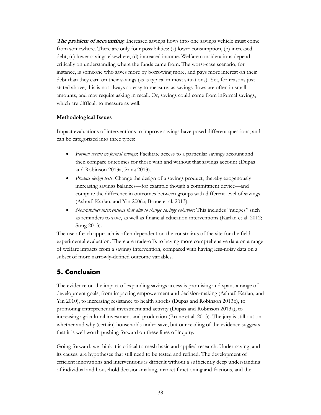**The problem of accounting:** Increased savings flows into one savings vehicle must come from somewhere. There are only four possibilities: (a) lower consumption, (b) increased debt, (c) lower savings elsewhere, (d) increased income. Welfare considerations depend critically on understanding where the funds came from. The worst-case scenario, for instance, is someone who saves more by borrowing more, and pays more interest on their debt than they earn on their savings (as is typical in most situations). Yet, for reasons just stated above, this is not always so easy to measure, as savings flows are often in small amounts, and may require asking in recall. Or, savings could come from informal savings, which are difficult to measure as well.

#### **Methodological Issues**

Impact evaluations of interventions to improve savings have posed different questions, and can be categorized into three types:

- *Formal versus no formal savings*: Facilitate access to a particular savings account and then compare outcomes for those with and without that savings account (Dupas and Robinson 2013a; Prina 2013).
- *Product design tests*: Change the design of a savings product, thereby exogenously increasing savings balances—for example though a commitment device—and compare the difference in outcomes between groups with different level of savings (Ashraf, Karlan, and Yin 2006a; Brune et al. 2013).
- *Non-product interventions that aim to change savings behavior*: This includes "nudges" such as reminders to save, as well as financial education interventions (Karlan et al. 2012; Song 2013).

The use of each approach is often dependent on the constraints of the site for the field experimental evaluation. There are trade-offs to having more comprehensive data on a range of welfare impacts from a savings intervention, compared with having less-noisy data on a subset of more narrowly-defined outcome variables.

## <span id="page-40-0"></span>**5. Conclusion**

The evidence on the impact of expanding savings access is promising and spans a range of development goals, from impacting empowerment and decision-making (Ashraf, Karlan, and Yin 2010), to increasing resistance to health shocks (Dupas and Robinson 2013b), to promoting entrepreneurial investment and activity (Dupas and Robinson 2013a), to increasing agricultural investment and production (Brune et al. 2013). The jury is still out on whether and why (certain) households under-save, but our reading of the evidence suggests that it is well worth pushing forward on these lines of inquiry.

Going forward, we think it is critical to mesh basic and applied research. Under-saving, and its causes, are hypotheses that still need to be tested and refined. The development of efficient innovations and interventions is difficult without a sufficiently deep understanding of individual and household decision-making, market functioning and frictions, and the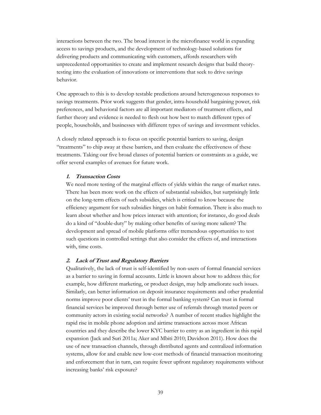interactions between the two. The broad interest in the microfinance world in expanding access to savings products, and the development of technology-based solutions for delivering products and communicating with customers, affords researchers with unprecedented opportunities to create and implement research designs that build theorytesting into the evaluation of innovations or interventions that seek to drive savings behavior.

One approach to this is to develop testable predictions around heterogeneous responses to savings treatments. Prior work suggests that gender, intra-household bargaining power, risk preferences, and behavioral factors are all important mediators of treatment effects, and further theory and evidence is needed to flesh out how best to match different types of people, households, and businesses with different types of savings and investment vehicles.

A closely related approach is to focus on specific potential barriers to saving, design "treatments" to chip away at these barriers, and then evaluate the effectiveness of these treatments. Taking our five broad classes of potential barriers or constraints as a guide, we offer several examples of avenues for future work.

#### **1. Transaction Costs**

We need more testing of the marginal effects of yields within the range of market rates. There has been more work on the effects of substantial subsidies, but surprisingly little on the long-term effects of such subsidies, which is critical to know because the efficiency argument for such subsidies hinges on habit formation. There is also much to learn about whether and how prices interact with attention; for instance, do good deals do a kind of "double-duty" by making other benefits of saving more salient? The development and spread of mobile platforms offer tremendous opportunities to test such questions in controlled settings that also consider the effects of, and interactions with, time costs.

#### **2. Lack of Trust and Regulatory Barriers**

Qualitatively, the lack of trust is self-identified by non-users of formal financial services as a barrier to saving in formal accounts. Little is known about how to address this; for example, how different marketing, or product design, may help ameliorate such issues. Similarly, can better information on deposit insurance requirements and other prudential norms improve poor clients' trust in the formal banking system? Can trust in formal financial services be improved through better use of referrals through trusted peers or community actors in existing social networks? A number of recent studies highlight the rapid rise in mobile phone adoption and airtime transactions across most African countries and they describe the lower KYC barrier to entry as an ingredient in this rapid expansion (Jack and Suri 2011a; Aker and Mbiti 2010; Davidson 2011). How does the use of new transaction channels, through distributed agents and centralized information systems, allow for and enable new low-cost methods of financial transaction monitoring and enforcement that in turn, can require fewer upfront regulatory requirements without increasing banks' risk exposure?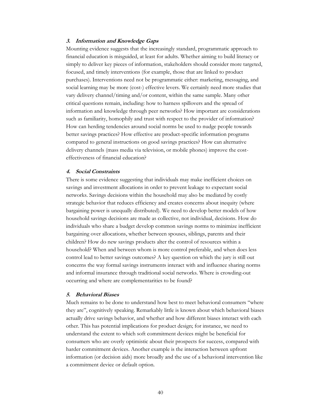#### **3. Information and Knowledge Gaps**

Mounting evidence suggests that the increasingly standard, programmatic approach to financial education is misguided, at least for adults. Whether aiming to build literacy or simply to deliver key pieces of information, stakeholders should consider more targeted, focused, and timely interventions (for example, those that are linked to product purchases). Interventions need not be programmatic either: marketing, messaging, and social learning may be more (cost-) effective levers. We certainly need more studies that vary delivery channel/timing and/or content, within the same sample. Many other critical questions remain, including: how to harness spillovers and the spread of information and knowledge through peer networks? How important are considerations such as familiarity, homophily and trust with respect to the provider of information? How can herding tendencies around social norms be used to nudge people towards better savings practices? How effective are product-specific information programs compared to general instructions on good savings practices? How can alternative delivery channels (mass media via television, or mobile phones) improve the costeffectiveness of financial education?

#### **4. Social Constraints**

There is some evidence suggesting that individuals may make inefficient choices on savings and investment allocations in order to prevent leakage to expectant social networks. Savings decisions within the household may also be mediated by costly strategic behavior that reduces efficiency and creates concerns about inequity (where bargaining power is unequally distributed). We need to develop better models of how household savings decisions are made as collective, not individual, decisions. How do individuals who share a budget develop common savings norms to minimize inefficient bargaining over allocations, whether between spouses, siblings, parents and their children? How do new savings products alter the control of resources within a household? When and between whom is more control preferable, and when does less control lead to better savings outcomes? A key question on which the jury is still out concerns the way formal savings instruments interact with and influence sharing norms and informal insurance through traditional social networks. Where is crowding-out occurring and where are complementarities to be found?

#### **5. Behavioral Biases**

Much remains to be done to understand how best to meet behavioral consumers "where they are", cognitively speaking. Remarkably little is known about which behavioral biases actually drive savings behavior, and whether and how different biases interact with each other. This has potential implications for product design; for instance, we need to understand the extent to which soft commitment devices might be beneficial for consumers who are overly optimistic about their prospects for success, compared with harder commitment devices. Another example is the interaction between upfront information (or decision aids) more broadly and the use of a behavioral intervention like a commitment device or default option.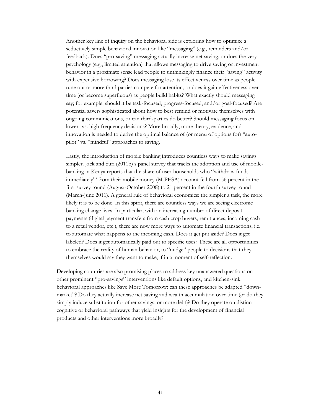Another key line of inquiry on the behavioral side is exploring how to optimize a seductively simple behavioral innovation like "messaging" (e.g., reminders and/or feedback). Does "pro-saving" messaging actually increase net saving, or does the very psychology (e.g., limited attention) that allows messaging to drive saving or investment behavior in a proximate sense lead people to unthinkingly finance their "saving" activity with expensive borrowing? Does messaging lose its effectiveness over time as people tune out or more third parties compete for attention, or does it gain effectiveness over time (or become superfluous) as people build habits? What exactly should messaging say; for example, should it be task-focused, progress-focused, and/or goal-focused? Are potential savers sophisticated about how to best remind or motivate themselves with ongoing communications, or can third-parties do better? Should messaging focus on lower- vs. high-frequency decisions? More broadly, more theory, evidence, and innovation is needed to derive the optimal balance of (or menu of options for) "autopilot" vs. "mindful" approaches to saving.

Lastly, the introduction of mobile banking introduces countless ways to make savings simpler. Jack and Suri (2011b)'s panel survey that tracks the adoption and use of mobilebanking in Kenya reports that the share of user-households who "withdraw funds immediately"' from their mobile money (M-PESA) account fell from 56 percent in the first survey round (August-October 2008) to 21 percent in the fourth survey round (March-June 2011). A general rule of behavioral economics: the simpler a task, the more likely it is to be done. In this spirit, there are countless ways we are seeing electronic banking change lives. In particular, with an increasing number of direct deposit payments (digital payment transfers from cash crop buyers, remittances, incoming cash to a retail vendor, etc.), there are now more ways to automate financial transactions, i.e. to automate what happens to the incoming cash. Does it get put aside? Does it get labeled? Does it get automatically paid out to specific uses? These are all opportunities to embrace the reality of human behavior, to "nudge" people to decisions that they themselves would say they want to make, if in a moment of self-reflection.

Developing countries are also promising places to address key unanswered questions on other prominent "pro-savings" interventions like default options, and kitchen-sink behavioral approaches like Save More Tomorrow: can these approaches be adapted "downmarket"? Do they actually increase net saving and wealth accumulation over time (or do they simply induce substitution for other savings, or more debt)? Do they operate on distinct cognitive or behavioral pathways that yield insights for the development of financial products and other interventions more broadly?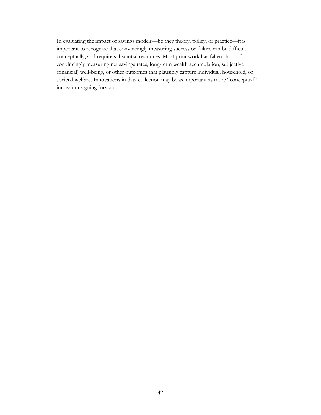In evaluating the impact of savings models—be they theory, policy, or practice—it is important to recognize that convincingly measuring success or failure can be difficult conceptually, and require substantial resources. Most prior work has fallen short of convincingly measuring net savings rates, long-term wealth accumulation, subjective (financial) well-being, or other outcomes that plausibly capture individual, household, or societal welfare. Innovations in data collection may be as important as more "conceptual" innovations going forward.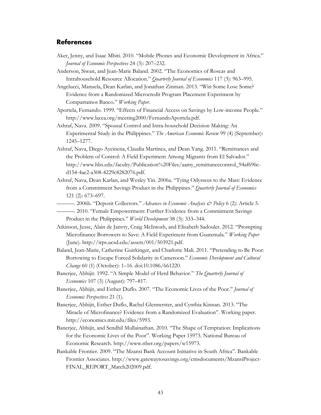## <span id="page-45-0"></span>**References**

- Aker, Jenny, and Isaac Mbiti. 2010. "Mobile Phones and Economic Development in Africa." *Journal of Economic Perspectives* 24 (3): 207–232.
- Anderson, Siwan, and Jean-Marie Baland. 2002. "The Economics of Roscas and Intrahousehold Resource Allocation." *Quarterly Journal of Economics* 117 (3): 963–995.

Angelucci, Manuela, Dean Karlan, and Jonathan Zinman. 2013. "Win Some Lose Some? Evidence from a Randomized Microcredit Program Placement Experiment by Compartamos Banco." *Working Paper*.

Aportela, Fernando. 1999. "Effects of Financial Access on Savings by Low-income People." http://www.lacea.org/meeting2000/FernandoAportela.pdf.

- Ashraf, Nava. 2009. "Spousal Control and Intra-household Decision Making: An Experimental Study in the Philippines." *The American Economic Review* 99 (4) (September): 1245–1277.
- Ashraf, Nava, Diego Aycinena, Claudia Martínez, and Dean Yang. 2011. "Remittances and the Problem of Control: A Field Experiment Among Migrants from El Salvador." http://www.hbs.edu/faculty/Publication%20Files/aamy\_remittancecontrol\_94af696cd154-4ae2-a308-4229c8282076.pdf.
- Ashraf, Nava, Dean Karlan, and Wesley Yin. 2006a. "Tying Odysseus to the Mast: Evidence from a Commitment Savings Product in the Philippines." *Quarterly Journal of Economics* 121 (2): 673–697.
- ———. 2006b. "Deposit Collectors." *Advances in Economic Analysis & Policy* 6 (2): Article 5. ———. 2010. "Female Empowerment: Further Evidence from a Commitment Savings
	- Product in the Philippines." *World Development* 38 (3): 333–344.
- Atkinson, Jesse, Alain de Janvry, Craig McIntosh, and Elisabeth Sadoulet. 2012. "Prompting Microfinance Borrowers to Save: A Field Experiment from Guatemala." *Working Paper* (June). http://irps.ucsd.edu/assets/001/503921.pdf.
- Baland, Jean-Marie, Catherine Guirkinger, and Charlotte Mali. 2011. "Pretending to Be Poor: Borrowing to Escape Forced Solidarity in Cameroon." *Economic Development and Cultural Change* 60 (1) (October): 1–16. doi:10.1086/661220.
- Banerjee, Abhijit. 1992. "A Simple Model of Herd Behavior." *The Quarterly Journal of Economics* 107 (3) (August): 797–817.
- Banerjee, Abhijit, and Esther Duflo. 2007. "The Economic Lives of the Poor." *Journal of Economic Perspectives* 21 (1).
- Banerjee, Abhijit, Esther Duflo, Rachel Glennerster, and Cynthia Kinnan. 2013. "The Miracle of Microfinance? Evidence from a Randomized Evaluation". Working paper. http://economics.mit.edu/files/5993.
- Banerjee, Abhijit, and Sendhil Mullainathan. 2010. "The Shape of Temptation: Implications for the Economic Lives of the Poor". Working Paper 15973. National Bureau of Economic Research. http://www.nber.org/papers/w15973.
- Bankable Frontier. 2009. "The Mzansi Bank Account Initiative in South Africa". Bankable Frontier Associates. http://www.gatewaytosavings.org/cmsdocuments/MzansiProject-FINAL\_REPORT\_March202009.pdf.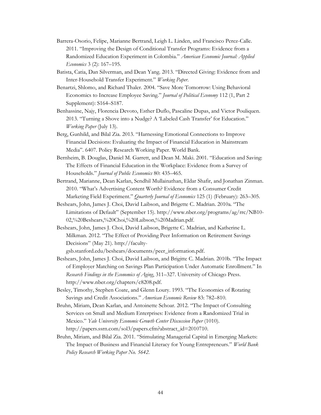- Barrera-Osorio, Felipe, Marianne Bertrand, Leigh L. Linden, and Francisco Perez-Calle. 2011. "Improving the Design of Conditional Transfer Programs: Evidence from a Randomized Education Experiment in Colombia." *American Economic Journal: Applied Economics* 3 (2): 167–195.
- Batista, Catia, Dan Silverman, and Dean Yang. 2013. "Directed Giving: Evidence from and Inter-Household Transfer Experiment." *Working Paper*.
- Benartzi, Shlomo, and Richard Thaler. 2004. "Save More Tomorrow: Using Behavioral Economics to Increase Employee Saving." *Journal of Political Economy* 112 (1, Part 2 Supplement): S164–S187.
- Benhassine, Najy, Florencia Devoto, Esther Duflo, Pascaline Dupas, and Victor Pouliquen. 2013. "Turning a Shove into a Nudge? A 'Labeled Cash Transfer' for Education." *Working Paper* (July 13).
- Berg, Gunhild, and Bilal Zia. 2013. "Harnessing Emotional Connections to Improve Financial Decisions: Evaluating the Impact of Financial Education in Mainstream Media". 6407. Policy Research Working Paper. World Bank.
- Bernheim, B. Douglas, Daniel M. Garrett, and Dean M. Maki. 2001. "Education and Saving: The Effects of Financial Education in the Workplace: Evidence from a Survey of Households." *Journal of Public Economics* 80: 435–465.
- Bertrand, Marianne, Dean Karlan, Sendhil Mullainathan, Eldar Shafir, and Jonathan Zinman. 2010. "What's Advertising Content Worth? Evidence from a Consumer Credit Marketing Field Experiment." *Quarterly Journal of Economics* 125 (1) (February): 263–305.
- Beshears, John, James J. Choi, David Laibson, and Brigette C. Madrian. 2010a. "The Limitations of Default" (September 15). http://www.nber.org/programs/ag/rrc/NB10- 02,%20Beshears,%20Choi,%20Laibson,%20Madrian.pdf.
- Beshears, John, James J. Choi, David Laibson, Brigette C. Madrian, and Katherine L. Milkman. 2012. "The Effect of Providing Peer Information on Retirement Savings Decisions" (May 21). http://faculty-

gsb.stanford.edu/beshears/documents/peer\_information.pdf.

- Beshears, John, James J. Choi, David Laibson, and Brigitte C. Madrian. 2010b. "The Impact of Employer Matching on Savings Plan Participation Under Automatic Enrollment." In *Research Findings in the Economics of Aging*, 311–327. University of Chicago Press. http://www.nber.org/chapters/c8208.pdf.
- Besley, Timothy, Stephen Coate, and Glenn Loury. 1993. "The Economics of Rotating Savings and Credit Associations." *American Economic Review* 83: 782–810.
- Bruhn, Miriam, Dean Karlan, and Antoinette Schoar. 2012. "The Impact of Consulting Services on Small and Medium Enterprises: Evidence from a Randomized Trial in Mexico." *Yale University Economic Growth Center Discussion Paper* (1010). http://papers.ssrn.com/sol3/papers.cfm?abstract\_id=2010710.
- Bruhn, Miriam, and Bilal Zia. 2011. "Stimulating Managerial Capital in Emerging Markets: The Impact of Business and Financial Literacy for Young Entrepreneurs." *World Bank Policy Research Working Paper No. 5642.*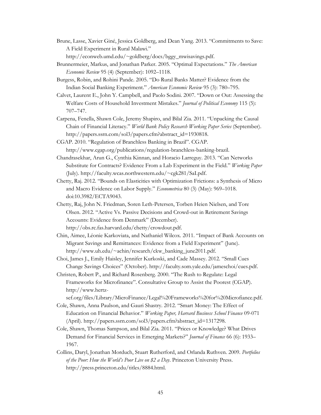- Brune, Lasse, Xavier Giné, Jessica Goldberg, and Dean Yang. 2013. "Commitments to Save: A Field Experiment in Rural Malawi." http://econweb.umd.edu/~goldberg/docs/bggy\_mwisavings.pdf.
- Brunnermeier, Markus, and Jonathan Parker. 2005. "Optimal Expectations." *The American Economic Review* 95 (4) (September): 1092–1118.
- Burgess, Robin, and Rohini Pande. 2005. "Do Rural Banks Matter? Evidence from the Indian Social Banking Experiment." *American Economic Review* 95 (3): 780–795.
- Calvet, Laurent E., John Y. Campbell, and Paolo Sodini. 2007. "Down or Out: Assessing the Welfare Costs of Household Investment Mistakes." *Journal of Political Economy* 115 (5): 707–747.
- Carpena, Fenella, Shawn Cole, Jeremy Shapiro, and Bilal Zia. 2011. "Unpacking the Causal Chain of Financial Literacy." *World Bank Policy Research Working Paper Series* (September). http://papers.ssrn.com/sol3/papers.cfm?abstract\_id=1930818.
- CGAP. 2010. "Regulation of Branchless Banking in Brazil". CGAP. http://www.cgap.org/publications/regulation-branchless-banking-brazil.
- Chandrasekhar, Arun G., Cynthia Kinnan, and Horacio Larreguy. 2013. "Can Networks Substitute for Contracts? Evidence From a Lab Experiment in the Field." *Working Paper* (July). http://faculty.wcas.northwestern.edu/~cgk281/SaI.pdf.
- Chetty, Raj. 2012. "Bounds on Elasticities with Optimization Frictions: a Synthesis of Micro and Macro Evidence on Labor Supply." *Econometrica* 80 (3) (May): 969–1018. doi:10.3982/ECTA9043.
- Chetty, Raj, John N. Friedman, Soren Leth-Petersen, Torben Heien Nielsen, and Tore Olsen. 2012. "Active Vs. Passive Decisions and Crowd-out in Retirement Savings Accounts: Evidence from Denmark" (December).
	- http://obs.rc.fas.harvard.edu/chetty/crowdout.pdf.
- Chin, Aimee, Léonie Karkoviata, and Nathaniel Wilcox. 2011. "Impact of Bank Accounts on Migrant Savings and Remittances: Evidence from a Field Experiment" (June). http://www.uh.edu/~achin/research/ckw\_banking\_june2011.pdf.
- Choi, James J., Emily Haisley, Jennifer Kurkoski, and Cade Massey. 2012. "Small Cues Change Savings Choices" (October). http://faculty.som.yale.edu/jameschoi/cues.pdf.
- Christen, Robert P., and Richard Rosenberg. 2000. "The Rush to Regulate: Legal Frameworks for Microfinance". Consultative Group to Assist the Poorest (CGAP). http://www.hertz-

sef.org/files/Library/MicroFinance/Legal%20Frameworks%20for%20Microfiance.pdf.

- Cole, Shawn, Anna Paulson, and Gauri Shastry. 2012. "Smart Money: The Effect of Education on Financial Behavior." *Working Paper, Harvard Business School Finance* 09-071 (April). http://papers.ssrn.com/sol3/papers.cfm?abstract\_id=1317298.
- Cole, Shawn, Thomas Sampson, and Bilal Zia. 2011. "Prices or Knowledge? What Drives Demand for Financial Services in Emerging Markets?" *Journal of Finance* 66 (6): 1933– 1967.
- Collins, Daryl, Jonathan Morduch, Stuart Rutherford, and Orlanda Ruthven. 2009. *Portfolios of the Poor: How the World's Poor Live on \$2 a Day*. Princeton University Press. http://press.princeton.edu/titles/8884.html.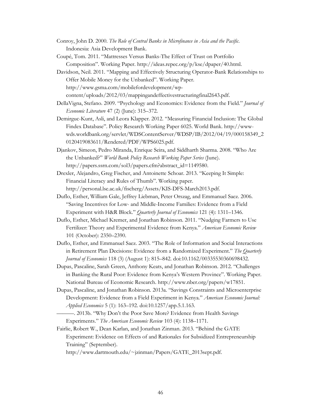- Conroy, John D. 2000. *The Role of Central Banks in Microfinance in Asia and the Pacific*. Indonesia: Asia Development Bank.
- Coupé, Tom. 2011. "Mattresses Versus Banks-The Effect of Trust on Portfolio Composition". Working Paper. http://ideas.repec.org/p/kse/dpaper/40.html.
- Davidson, Neil. 2011. "Mapping and Effectively Structuring Operator-Bank Relationships to Offer Mobile Money for the Unbanked". Working Paper. http://www.gsma.com/mobilefordevelopment/wpcontent/uploads/2012/03/mappingandeffectivestructuringfinal2643.pdf.
- DellaVigna, Stefano. 2009. "Psychology and Economics: Evidence from the Field." *Journal of Economic Literature* 47 (2) (June): 315–372.
- Demirguc-Kunt, Asli, and Leora Klapper. 2012. "Measuring Financial Inclusion: The Global Findex Database". Policy Research Working Paper 6025. World Bank. http://wwwwds.worldbank.org/servlet/WDSContentServer/WDSP/IB/2012/04/19/000158349\_2 0120419083611/Rendered/PDF/WPS6025.pdf.
- Djankov, Simeon, Pedro Miranda, Enrique Seira, and Siddharth Sharma. 2008. "Who Are the Unbanked?" *World Bank Policy Research Working Paper Series* (June). http://papers.ssrn.com/sol3/papers.cfm?abstract\_id=1149580.
- Drexler, Alejandro, Greg Fischer, and Antoinette Schoar. 2013. "Keeping It Simple: Financial Literacy and Rules of Thumb". Working paper. http://personal.lse.ac.uk/fischerg/Assets/KIS-DFS-March2013.pdf.
- Duflo, Esther, William Gale, Jeffrey Liebman, Peter Orszag, and Emmanuel Saez. 2006. "Saving Incentives for Low- and Middle-Income Families: Evidence from a Field Experiment with H&R Block." *Quarterly Journal of Economics* 121 (4): 1311–1346.
- Duflo, Esther, Michael Kremer, and Jonathan Robinson. 2011. "Nudging Farmers to Use Fertilizer: Theory and Experimental Evidence from Kenya." *American Economic Review* 101 (October): 2350–2390.
- Duflo, Esther, and Emmanuel Saez. 2003. "The Role of Information and Social Interactions in Retirement Plan Decisions: Evidence from a Randomized Experiment." *The Quarterly Journal of Economics* 118 (3) (August 1): 815–842. doi:10.1162/00335530360698432.
- Dupas, Pascaline, Sarah Green, Anthony Keats, and Jonathan Robinson. 2012. "Challenges in Banking the Rural Poor: Evidence from Kenya's Western Province". Working Paper. National Bureau of Economic Research. http://www.nber.org/papers/w17851.
- Dupas, Pascaline, and Jonathan Robinson. 2013a. "Savings Constraints and Microenterprise Development: Evidence from a Field Experiment in Kenya." *American Economic Journal: Applied Economics* 5 (1): 163–192. doi:10.1257/app.5.1.163.
	- ———. 2013b. "Why Don't the Poor Save More? Evidence from Health Savings Experiments." *The American Economic Review* 103 (4): 1138–1171.
- Fairlie, Robert W., Dean Karlan, and Jonathan Zinman. 2013. "Behind the GATE Experiment: Evidence on Effects of and Rationales for Subsidized Entrepreneurship Training" (September).

http://www.dartmouth.edu/~jzinman/Papers/GATE\_2013sept.pdf.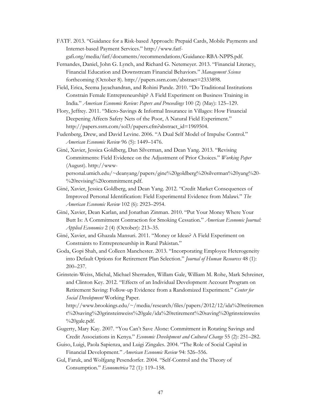- FATF. 2013. "Guidance for a Risk-based Approach: Prepaid Cards, Mobile Payments and Internet-based Payment Services." http://www.fatfgafi.org/media/fatf/documents/recommendations/Guidance-RBA-NPPS.pdf.
- Fernandes, Daniel, John G. Lynch, and Richard G. Netemeyer. 2013. "Financial Literacy, Financial Education and Downstream Financial Behaviors." *Management Science* forthcoming (October 8). http://papers.ssrn.com/abstract=2333898.
- Field, Erica, Seema Jayachandran, and Rohini Pande. 2010. "Do Traditional Institutions Constrain Female Entrepreneurship? A Field Experiment on Business Training in India." *American Economic Review: Papers and Proceedings* 100 (2) (May): 125–129.
- Flory, Jeffrey. 2011. "Micro-Savings & Informal Insurance in Villages: How Financial Deepening Affects Safety Nets of the Poor, A Natural Field Experiment." http://papers.ssrn.com/sol3/papers.cfm?abstract\_id=1969504.
- Fudenberg, Drew, and David Levine. 2006. "A Dual Self Model of Impulse Control." *American Economic Review* 96 (5): 1449–1476.
- Giné, Xavier, Jessica Goldberg, Dan Silverman, and Dean Yang. 2013. "Revising Commitments: Field Evidence on the Adjustment of Prior Choices." *Working Paper* (August). http://wwwpersonal.umich.edu/~deanyang/papers/gine%20goldberg%20silverman%20yang%20-
	- %20revising%20commitment.pdf.
- Giné, Xavier, Jessica Goldberg, and Dean Yang. 2012. "Credit Market Consequences of Improved Personal Identification: Field Experimental Evidence from Malawi." *The American Economic Review* 102 (6): 2923–2954.
- Giné, Xavier, Dean Karlan, and Jonathan Zinman. 2010. "Put Your Money Where Your Butt Is: A Commitment Contraction for Smoking Cessation." *American Economic Journal: Applied Economics* 2 (4) (October): 213–35.
- Giné, Xavier, and Ghazala Mansuri. 2011. "Money or Ideas? A Field Experiment on Constraints to Entrepreneurship in Rural Pakistan."
- Goda, Gopi Shah, and Colleen Manchester. 2013. "Incorporating Employee Heterogeneity into Default Options for Retirement Plan Selection." *Journal of Human Resources* 48 (1): 200–237.
- Grinstein-Weiss, Michal, Michael Sherraden, Willam Gale, William M. Rohe, Mark Schreiner, and Clinton Key. 2012. "Effects of an Individual Development Account Program on Retirement Saving: Follow-up Evidence from a Randomized Experiment." *Center for Social Development* Working Paper.

http://www.brookings.edu/~/media/research/files/papers/2012/12/ida%20retiremen t%20saving%20grinsteinweiss%20gale/ida%20retirement%20saving%20grinsteinweiss %20gale.pdf.

- Gugerty, Mary Kay. 2007. "You Can't Save Alone: Commitment in Rotating Savings and Credit Associations in Kenya." *Economic Development and Cultural Change* 55 (2): 251–282.
- Guiso, Luigi, Paola Sapienza, and Luigi Zingales. 2004. "The Role of Social Capital in Financial Development." *American Economic Review* 94: 526–556.
- Gul, Faruk, and Wolfgang Pesendorfer. 2004. "Self-Control and the Theory of Consumption." *Econometrica* 72 (1): 119–158.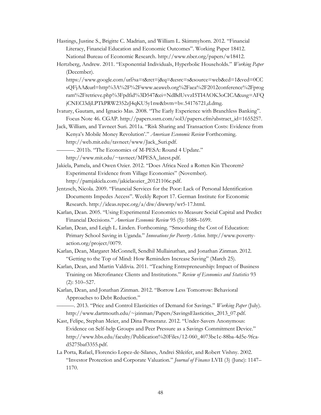Hastings, Justine S., Brigitte C. Madrian, and William L. Skimmyhorn. 2012. "Financial Literacy, Financial Education and Economic Outcomes". Working Paper 18412. National Bureau of Economic Research. http://www.nber.org/papers/w18412.

Hertzberg, Andrew. 2011. "Exponential Individuals, Hyperbolic Households." *Working Paper* (December).

https://www.google.com/url?sa=t&rct=j&q=&esrc=s&source=web&cd=1&ved=0CC sQFjAA&url=http%3A%2F%2Fwww.aeaweb.org%2Faea%2F2012conference%2Fprog ram%2Fretrieve.php%3Fpdfid%3D547&ei=NdBdUvvzI5TI4AOK3oCICA&usg=AFQ jCNECl3djLPTkPRW2352zJ4qKU5y1nw&bvm=bv.54176721,d.dmg.

- Ivatury, Gautam, and Ignacio Mas. 2008. "The Early Experience with Branchless Banking". Focus Note 46. CGAP. http://papers.ssrn.com/sol3/papers.cfm?abstract\_id=1655257.
- Jack, William, and Tavneet Suri. 2011a. "Risk Sharing and Transaction Costs: Evidence from Kenya's Mobile Money Revolution'." *American Economic Review* Forthcoming. http://web.mit.edu/tavneet/www/Jack\_Suri.pdf.
	- ———. 2011b. "The Economics of M-PESA: Round 4 Update."

http://www.mit.edu/~tavneet/MPESA\_latest.pdf.

- Jakiela, Pamela, and Owen Ozier. 2012. "Does Africa Need a Rotten Kin Theorem? Experimental Evidence from Village Economies" (November). http://pamjakiela.com/jakielaozier\_20121106c.pdf.
- Jentzsch, Nicola. 2009. "Financial Services for the Poor: Lack of Personal Identification Documents Impedes Access". Weekly Report 17. German Institute for Economic Research. http://ideas.repec.org/a/diw/diwwrp/wr5-17.html.
- Karlan, Dean. 2005. "Using Experimental Economics to Measure Social Capital and Predict Financial Decisions." *American Economic Review* 95 (5): 1688–1699.
- Karlan, Dean, and Leigh L. Linden. Forthcoming. "Smoothing the Cost of Education: Primary School Saving in Uganda." *Innovations for Poverty Action*. http://www.povertyaction.org/project/0079.
- Karlan, Dean, Margaret McConnell, Sendhil Mullainathan, and Jonathan Zinman. 2012. "Getting to the Top of Mind: How Reminders Increase Saving" (March 25).
- Karlan, Dean, and Martin Valdivia. 2011. "Teaching Entrepreneurship: Impact of Business Training on Microfinance Clients and Institutions." *Review of Economics and Statistics* 93 (2): 510–527.
- Karlan, Dean, and Jonathan Zinman. 2012. "Borrow Less Tomorrow: Behavioral Approaches to Debt Reduction."

———. 2013. "Price and Control Elasticities of Demand for Savings." *Working Paper* (July). http://www.dartmouth.edu/~jzinman/Papers/SavingsElasticities\_2013\_07.pdf.

- Kast, Felipe, Stephan Meier, and Dina Pomeranz. 2012. "Under-Savers Anonymous: Evidence on Self-help Groups and Peer Pressure as a Savings Commitment Device." http://www.hbs.edu/faculty/Publication%20Files/12-060\_4073be1c-88ba-4d5e-9fcad5275baf3355.pdf.
- La Porta, Rafael, Florencio Lopez-de-Silanes, Andrei Shleifer, and Robert Vishny. 2002. "Investor Protection and Corporate Valuation." *Journal of Finance* LVII (3) (June): 1147– 1170.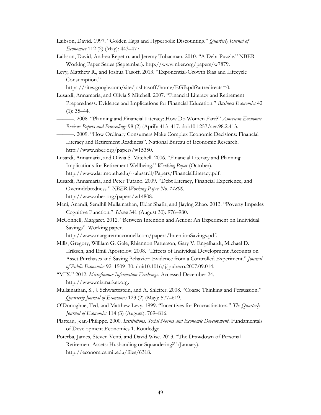- Laibson, David. 1997. "Golden Eggs and Hyperbolic Discounting." *Quarterly Journal of Economics* 112 (2) (May): 443–477.
- Laibson, David, Andrea Repetto, and Jeremy Tobacman. 2010. "A Debt Puzzle." NBER Working Paper Series (September). http://www.nber.org/papers/w7879.
- Levy, Matthew R., and Joshua Tasoff. 2013. "Exponential-Growth Bias and Lifecycle Consumption."
	- https://sites.google.com/site/joshtasoff/home/EGB.pdf?attredirects=0.
- Lusardi, Annamaria, and Olivia S Mitchell. 2007. "Financial Literacy and Retirement Preparedness: Evidence and Implications for Financial Education." *Business Economics* 42  $(1): 35-44.$ 
	- ———. 2008. "Planning and Financial Literacy: How Do Women Fare?" *American Economic Review: Papers and Proceedings* 98 (2) (April): 413–417. doi:10.1257/aer.98.2.413.
	- ———. 2009. "How Ordinary Consumers Make Complex Economic Decisions: Financial Literacy and Retirement Readiness". National Bureau of Economic Research. http://www.nber.org/papers/w15350.
- Lusardi, Annamaria, and Olivia S. Mitchell. 2006. "Financial Literacy and Planning: Implications for Retirement Wellbeing." *Working Paper* (October). http://www.dartmouth.edu/~alusardi/Papers/FinancialLiteracy.pdf.
- Lusardi, Annamaria, and Peter Tufano. 2009. "Debt Literacy, Financial Experience, and Overindebtedness." *NBER Working Paper No. 14808*. http://www.nber.org/papers/w14808.
- Mani, Anandi, Sendhil Mullainathan, Eldar Shafir, and Jiaying Zhao. 2013. "Poverty Impedes Cognitive Function." *Science* 341 (August 30): 976–980.
- McConnell, Margaret. 2012. "Between Intention and Action: An Experiment on Individual Savings". Working paper.

http://www.margaretmcconnell.com/papers/IntentionSavings.pdf.

- Mills, Gregory, William G. Gale, Rhiannon Patterson, Gary V. Engelhardt, Michael D. Eriksen, and Emil Apostolov. 2008. "Effects of Individual Development Accounts on Asset Purchases and Saving Behavior: Evidence from a Controlled Experiment." *Journal of Public Economics* 92: 1509–30. doi:10.1016/j.jpubeco.2007.09.014.
- "MIX." 2012. *Microfinance Information Exchange*. Accessed December 24. http://www.mixmarket.org.
- Mullainathan, S., J. Schwartzstein, and A. Shleifer. 2008. "Coarse Thinking and Persuasion." *Quarterly Journal of Economics* 123 (2) (May): 577–619.
- O'Donoghue, Ted, and Matthew Levy. 1999. "Incentives for Procrastinators." *The Quarterly Journal of Economics* 114 (3) (August): 769–816.
- Platteau, Jean-Philippe. 2000. *Institutions, Social Norms and Economic Development*. Fundamentals of Development Economics 1. Routledge.
- Poterba, James, Steven Venti, and David Wise. 2013. "The Drawdown of Personal Retirement Assets: Husbanding or Squandering?" (January). http://economics.mit.edu/files/6318.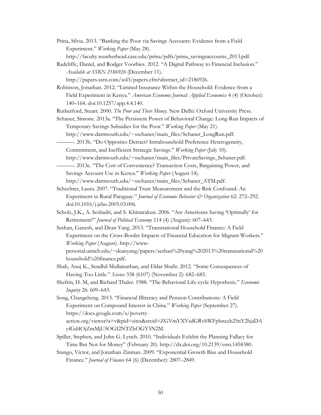Prina, Silvia. 2013. "Banking the Poor via Savings Accounts: Evidence from a Field Experiment." *Working Paper* (May 28).

http://faculty.weatherhead.case.edu/prina/pdfs/prina\_savingsaccounts\_2013.pdf.

Radcliffe, Daniel, and Rodger Voorhies. 2012. "A Digital Pathway to Financial Inclusion." *Available at SSRN 2186926* (December 11).

http://papers.ssrn.com/sol3/papers.cfm?abstract\_id=2186926.

Robinson, Jonathan. 2012. "Limited Insurance Within the Household: Evidence from a Field Experiment in Kenya." *American Economic Journal: Applied Economics* 4 (4) (October): 140–164. doi:10.1257/app.4.4.140.

Rutherford, Stuart. 2000. *The Poor and Their Money*. New Delhi: Oxford University Press.

Schaner, Simone. 2013a. "The Persistent Power of Behavioral Change: Long-Run Impacts of Temporary Savings Subsidies for the Poor." *Working Paper* (May 21).

http://www.dartmouth.edu/~sschaner/main\_files/Schaner\_LongRun.pdf.

———. 2013b. "Do Opposites Detract? Intrahousehold Preference Heterogeneity, Commitment, and Inefficient Strategic Savings." *Working Paper* (July 10).

http://www.dartmouth.edu/~sschaner/main\_files/PrivateSavings\_Schaner.pdf.

———. 2013c. "The Cost of Convenience? Transaction Costs, Bargaining Power, and Savings Account Use in Kenya." *Working Paper* (August 14).

http://www.dartmouth.edu/~sschaner/main\_files/Schaner\_ATM.pdf.

- Schechter, Laura. 2007. "Traditional Trust Measurement and the Risk Confound: An Experiment in Rural Paraguay." *Journal of Economic Behavior & Organization* 62: 272–292. doi:10.1016/j.jebo.2005.03.006.
- Scholz, J.K., A. Seshadri, and S. Khitatrakun. 2006. "Are Americans Saving 'Optimally' for Retirement?" *Journal of Political Economy* 114 (4) (August): 607–643.
- Seshan, Ganesh, and Dean Yang. 2013. "Transnational Household Finance: A Field Experiment on the Cross-Border Impacts of Financial Education for Migrant Workers." *Working Paper* (August). http://www-

personal.umich.edu/~deanyang/papers/seshan%20yang%202013%20transnational%20 household%20finance.pdf.

- Shah, Anuj K., Sendhil Mullainathan, and Eldar Shafir. 2012. "Some Consequences of Having Too Little." *Science* 338 (6107) (November 2): 682–685.
- Shefrin, H. M, and Richard Thaler. 1988. "The Behavioral Life-cycle Hypothesis." *Economic Inquiry* 26: 609–643.
- Song, Changcheng. 2013. "Financial Illiteracy and Pension Contributions: A Field Experiment on Compound Interest in China." *Working Paper* (September 27). https://docs.google.com/a/povertyaction.org/viewer?a=v&pid=sites&srcid=ZGVmYXVsdGRvbWFpbnxzb25nY2hjaDA yfGd4OjZmMjU5OGI2NTZhOGY5N2M.
- Spiller, Stephen, and John G. Lynch. 2010. "Individuals Exhibit the Planning Fallacy for Time But Not for Money" (February 20). http://dx.doi.org/10.2139/ssrn.1458380.
- Stango, Victor, and Jonathan Zinman. 2009. "Exponential Growth Bias and Household Finance." *Journal of Finance* 64 (6) (December): 2807–2849.